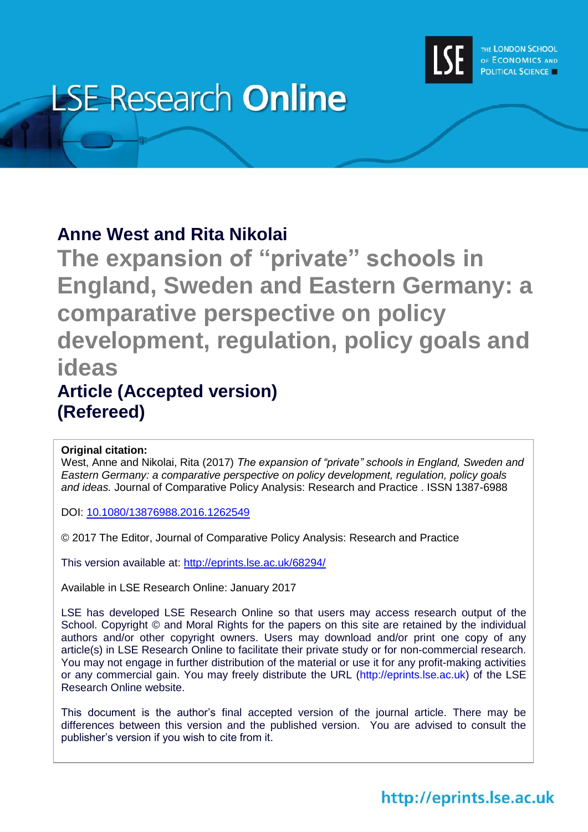

# **LSE Research Online**

### **Anne West and Rita Nikolai**

**The expansion of "private" schools in England, Sweden and Eastern Germany: a comparative perspective on policy development, regulation, policy goals and ideas Article (Accepted version)**

# **(Refereed)**

#### **Original citation:**

West, Anne and Nikolai, Rita (2017) *The expansion of "private" schools in England, Sweden and Eastern Germany: a comparative perspective on policy development, regulation, policy goals and ideas.* Journal of Comparative Policy Analysis: Research and Practice . ISSN 1387-6988

DOI: [10.1080/13876988.2016.1262549](http://dx.doi.org/10.1080/13876988.2016.1262549)

© 2017 The Editor, Journal of Comparative Policy Analysis: Research and Practice

This version available at:<http://eprints.lse.ac.uk/68294/>

Available in LSE Research Online: January 2017

LSE has developed LSE Research Online so that users may access research output of the School. Copyright © and Moral Rights for the papers on this site are retained by the individual authors and/or other copyright owners. Users may download and/or print one copy of any article(s) in LSE Research Online to facilitate their private study or for non-commercial research. You may not engage in further distribution of the material or use it for any profit-making activities or any commercial gain. You may freely distribute the URL (http://eprints.lse.ac.uk) of the LSE Research Online website.

This document is the author's final accepted version of the journal article. There may be differences between this version and the published version. You are advised to consult the publisher's version if you wish to cite from it.

## http://eprints.lse.ac.uk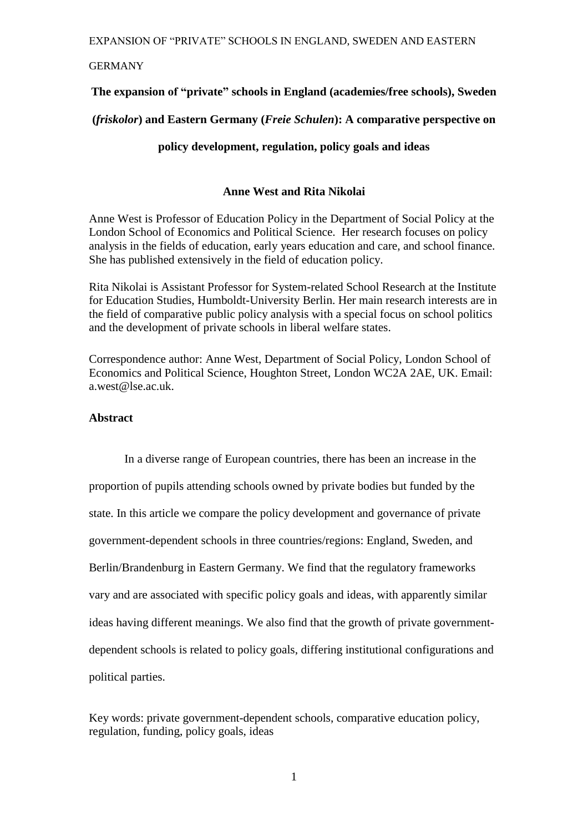#### GERMANY

#### **The expansion of "private" schools in England (academies/free schools), Sweden**

#### **(***friskolor***) and Eastern Germany (***Freie Schulen***): A comparative perspective on**

#### **policy development, regulation, policy goals and ideas**

#### **Anne West and Rita Nikolai**

Anne West is Professor of Education Policy in the Department of Social Policy at the London School of Economics and Political Science. Her research focuses on policy analysis in the fields of education, early years education and care, and school finance. She has published extensively in the field of education policy.

Rita Nikolai is Assistant Professor for System-related School Research at the Institute for Education Studies, Humboldt-University Berlin. Her main research interests are in the field of comparative public policy analysis with a special focus on school politics and the development of private schools in liberal welfare states.

Correspondence author: Anne West, Department of Social Policy, London School of Economics and Political Science, Houghton Street, London WC2A 2AE, UK. Email: a.west@lse.ac.uk.

#### **Abstract**

In a diverse range of European countries, there has been an increase in the proportion of pupils attending schools owned by private bodies but funded by the state. In this article we compare the policy development and governance of private government-dependent schools in three countries/regions: England, Sweden, and Berlin/Brandenburg in Eastern Germany. We find that the regulatory frameworks vary and are associated with specific policy goals and ideas, with apparently similar ideas having different meanings. We also find that the growth of private governmentdependent schools is related to policy goals, differing institutional configurations and political parties.

Key words: private government-dependent schools, comparative education policy, regulation, funding, policy goals, ideas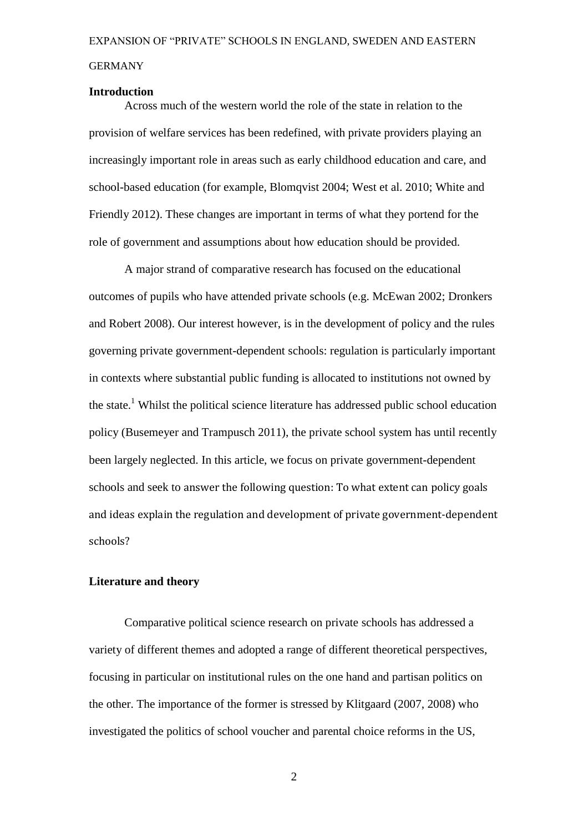#### GERMANY

#### **Introduction**

Across much of the western world the role of the state in relation to the provision of welfare services has been redefined, with private providers playing an increasingly important role in areas such as early childhood education and care, and school-based education (for example, Blomqvist 2004; West et al. 2010; White and Friendly 2012). These changes are important in terms of what they portend for the role of government and assumptions about how education should be provided.

A major strand of comparative research has focused on the educational outcomes of pupils who have attended private schools (e.g. McEwan 2002; Dronkers and Robert 2008). Our interest however, is in the development of policy and the rules governing private government-dependent schools: regulation is particularly important in contexts where substantial public funding is allocated to institutions not owned by the state.<sup>1</sup> Whilst the political science literature has addressed public school education policy (Busemeyer and Trampusch 2011), the private school system has until recently been largely neglected. In this article, we focus on private government-dependent schools and seek to answer the following question: To what extent can policy goals and ideas explain the regulation and development of private government-dependent schools?

#### **Literature and theory**

Comparative political science research on private schools has addressed a variety of different themes and adopted a range of different theoretical perspectives, focusing in particular on institutional rules on the one hand and partisan politics on the other. The importance of the former is stressed by Klitgaard (2007, 2008) who investigated the politics of school voucher and parental choice reforms in the US,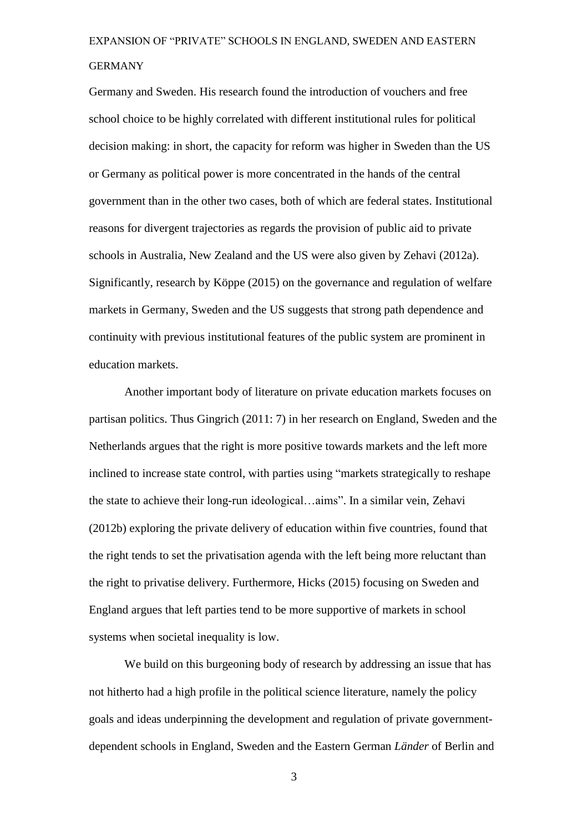Germany and Sweden. His research found the introduction of vouchers and free school choice to be highly correlated with different institutional rules for political decision making: in short, the capacity for reform was higher in Sweden than the US or Germany as political power is more concentrated in the hands of the central government than in the other two cases, both of which are federal states. Institutional reasons for divergent trajectories as regards the provision of public aid to private schools in Australia, New Zealand and the US were also given by Zehavi (2012a). Significantly, research by Köppe (2015) on the governance and regulation of welfare markets in Germany, Sweden and the US suggests that strong path dependence and continuity with previous institutional features of the public system are prominent in education markets.

Another important body of literature on private education markets focuses on partisan politics. Thus Gingrich (2011: 7) in her research on England, Sweden and the Netherlands argues that the right is more positive towards markets and the left more inclined to increase state control, with parties using "markets strategically to reshape the state to achieve their long-run ideological…aims". In a similar vein, Zehavi (2012b) exploring the private delivery of education within five countries, found that the right tends to set the privatisation agenda with the left being more reluctant than the right to privatise delivery. Furthermore, Hicks (2015) focusing on Sweden and England argues that left parties tend to be more supportive of markets in school systems when societal inequality is low.

We build on this burgeoning body of research by addressing an issue that has not hitherto had a high profile in the political science literature, namely the policy goals and ideas underpinning the development and regulation of private governmentdependent schools in England, Sweden and the Eastern German *Länder* of Berlin and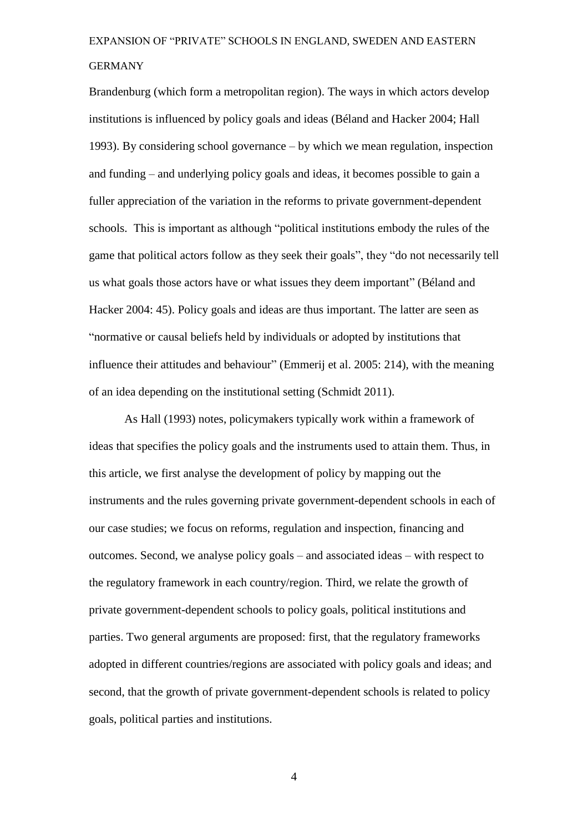Brandenburg (which form a metropolitan region). The ways in which actors develop institutions is influenced by policy goals and ideas (Béland and Hacker 2004; Hall 1993). By considering school governance – by which we mean regulation, inspection and funding – and underlying policy goals and ideas, it becomes possible to gain a fuller appreciation of the variation in the reforms to private government-dependent schools. This is important as although "political institutions embody the rules of the game that political actors follow as they seek their goals", they "do not necessarily tell us what goals those actors have or what issues they deem important" (Béland and Hacker 2004: 45). Policy goals and ideas are thus important. The latter are seen as "normative or causal beliefs held by individuals or adopted by institutions that influence their attitudes and behaviour" (Emmerij et al. 2005: 214), with the meaning of an idea depending on the institutional setting (Schmidt 2011).

As Hall (1993) notes, policymakers typically work within a framework of ideas that specifies the policy goals and the instruments used to attain them. Thus, in this article, we first analyse the development of policy by mapping out the instruments and the rules governing private government-dependent schools in each of our case studies; we focus on reforms, regulation and inspection, financing and outcomes. Second, we analyse policy goals – and associated ideas – with respect to the regulatory framework in each country/region. Third, we relate the growth of private government-dependent schools to policy goals, political institutions and parties. Two general arguments are proposed: first, that the regulatory frameworks adopted in different countries/regions are associated with policy goals and ideas; and second, that the growth of private government-dependent schools is related to policy goals, political parties and institutions.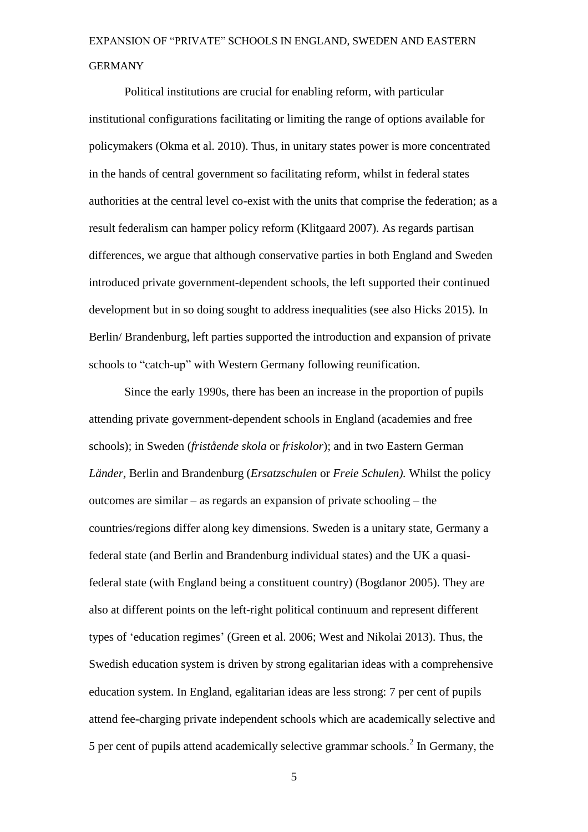Political institutions are crucial for enabling reform, with particular institutional configurations facilitating or limiting the range of options available for policymakers (Okma et al. 2010). Thus, in unitary states power is more concentrated in the hands of central government so facilitating reform, whilst in federal states authorities at the central level co-exist with the units that comprise the federation; as a result federalism can hamper policy reform (Klitgaard 2007). As regards partisan differences, we argue that although conservative parties in both England and Sweden introduced private government-dependent schools, the left supported their continued development but in so doing sought to address inequalities (see also Hicks 2015). In Berlin/ Brandenburg, left parties supported the introduction and expansion of private schools to "catch-up" with Western Germany following reunification.

Since the early 1990s, there has been an increase in the proportion of pupils attending private government-dependent schools in England (academies and free schools); in Sweden (*fristående skola* or *friskolor*); and in two Eastern German *Länder,* Berlin and Brandenburg (*Ersatzschulen* or *Freie Schulen).* Whilst the policy outcomes are similar – as regards an expansion of private schooling – the countries/regions differ along key dimensions. Sweden is a unitary state, Germany a federal state (and Berlin and Brandenburg individual states) and the UK a quasifederal state (with England being a constituent country) (Bogdanor 2005). They are also at different points on the left-right political continuum and represent different types of 'education regimes' (Green et al. 2006; West and Nikolai 2013). Thus, the Swedish education system is driven by strong egalitarian ideas with a comprehensive education system. In England, egalitarian ideas are less strong: 7 per cent of pupils attend fee-charging private independent schools which are academically selective and 5 per cent of pupils attend academically selective grammar schools.<sup>2</sup> In Germany, the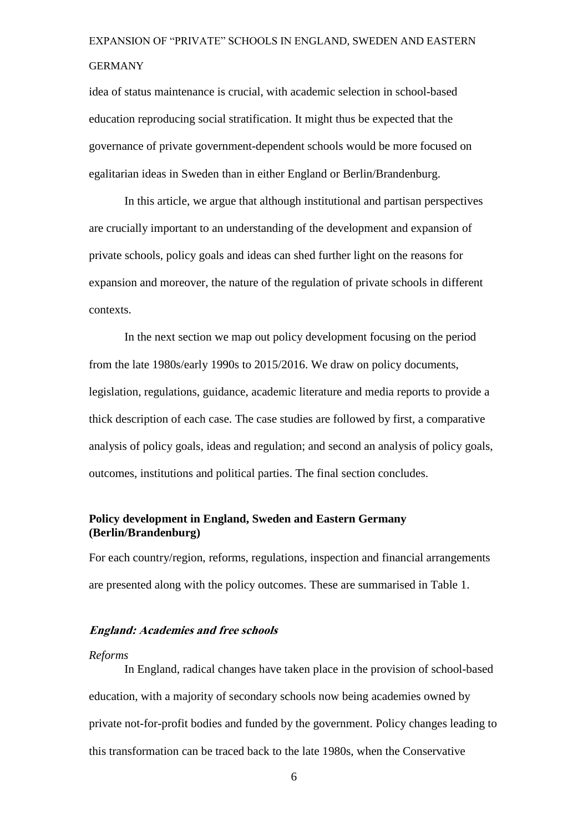idea of status maintenance is crucial, with academic selection in school-based education reproducing social stratification. It might thus be expected that the governance of private government-dependent schools would be more focused on egalitarian ideas in Sweden than in either England or Berlin/Brandenburg.

In this article, we argue that although institutional and partisan perspectives are crucially important to an understanding of the development and expansion of private schools, policy goals and ideas can shed further light on the reasons for expansion and moreover, the nature of the regulation of private schools in different contexts.

In the next section we map out policy development focusing on the period from the late 1980s/early 1990s to 2015/2016. We draw on policy documents, legislation, regulations, guidance, academic literature and media reports to provide a thick description of each case. The case studies are followed by first, a comparative analysis of policy goals, ideas and regulation; and second an analysis of policy goals, outcomes, institutions and political parties. The final section concludes.

#### **Policy development in England, Sweden and Eastern Germany (Berlin/Brandenburg)**

For each country/region, reforms, regulations, inspection and financial arrangements are presented along with the policy outcomes. These are summarised in Table 1.

#### **England: Academies and free schools**

#### *Reforms*

In England, radical changes have taken place in the provision of school-based education, with a majority of secondary schools now being academies owned by private not-for-profit bodies and funded by the government. Policy changes leading to this transformation can be traced back to the late 1980s, when the Conservative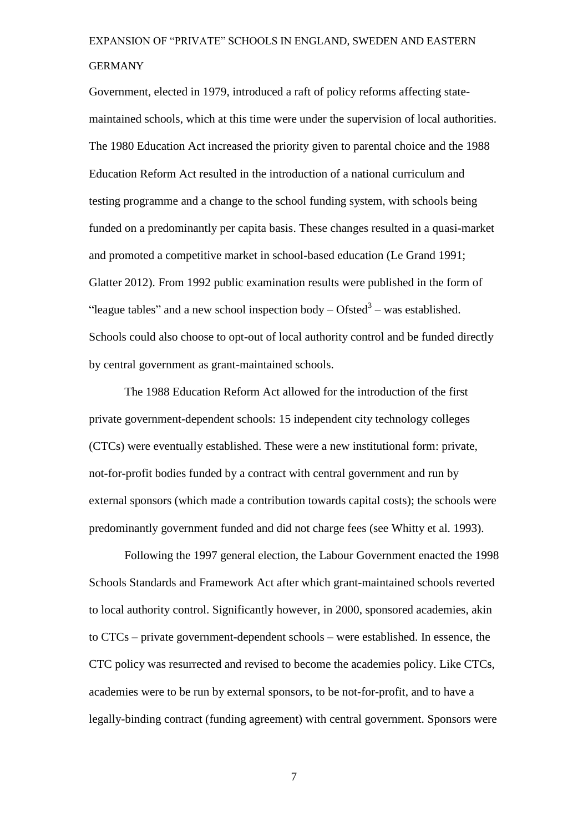Government, elected in 1979, introduced a raft of policy reforms affecting statemaintained schools, which at this time were under the supervision of local authorities. The 1980 Education Act increased the priority given to parental choice and the 1988 Education Reform Act resulted in the introduction of a national curriculum and testing programme and a change to the school funding system, with schools being funded on a predominantly per capita basis. These changes resulted in a quasi-market and promoted a competitive market in school-based education (Le Grand 1991; Glatter 2012). From 1992 public examination results were published in the form of "league tables" and a new school inspection body  $-$  Ofsted<sup>3</sup>  $-$  was established. Schools could also choose to opt-out of local authority control and be funded directly by central government as grant-maintained schools.

The 1988 Education Reform Act allowed for the introduction of the first private government-dependent schools: 15 independent city technology colleges (CTCs) were eventually established. These were a new institutional form: private, not-for-profit bodies funded by a contract with central government and run by external sponsors (which made a contribution towards capital costs); the schools were predominantly government funded and did not charge fees (see Whitty et al. 1993).

Following the 1997 general election, the Labour Government enacted the 1998 Schools Standards and Framework Act after which grant-maintained schools reverted to local authority control. Significantly however, in 2000, sponsored academies, akin to CTCs – private government-dependent schools – were established. In essence, the CTC policy was resurrected and revised to become the academies policy. Like CTCs, academies were to be run by external sponsors, to be not-for-profit, and to have a legally-binding contract (funding agreement) with central government. Sponsors were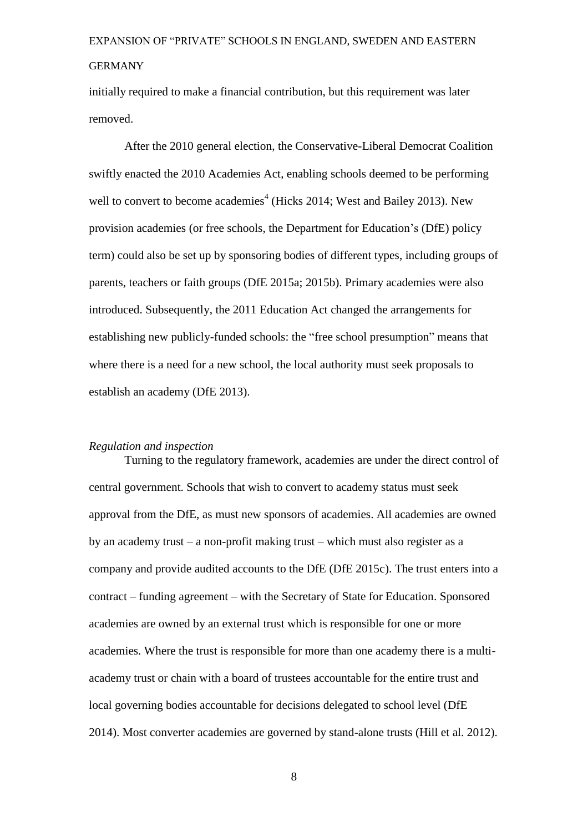initially required to make a financial contribution, but this requirement was later removed.

After the 2010 general election, the Conservative-Liberal Democrat Coalition swiftly enacted the 2010 Academies Act, enabling schools deemed to be performing well to convert to become academies<sup>4</sup> (Hicks 2014; West and Bailey 2013). New provision academies (or free schools, the Department for Education's (DfE) policy term) could also be set up by sponsoring bodies of different types, including groups of parents, teachers or faith groups (DfE 2015a; 2015b). Primary academies were also introduced. Subsequently, the 2011 Education Act changed the arrangements for establishing new publicly-funded schools: the "free school presumption" means that where there is a need for a new school, the local authority must seek proposals to establish an academy (DfE 2013).

#### *Regulation and inspection*

Turning to the regulatory framework, academies are under the direct control of central government. Schools that wish to convert to academy status must seek approval from the DfE, as must new sponsors of academies. All academies are owned by an academy trust – a non-profit making trust – which must also register as a company and provide audited accounts to the DfE (DfE 2015c). The trust enters into a contract – funding agreement – with the Secretary of State for Education. Sponsored academies are owned by an external trust which is responsible for one or more academies. Where the trust is responsible for more than one academy there is a multiacademy trust or chain with a board of trustees accountable for the entire trust and local governing bodies accountable for decisions delegated to school level (DfE 2014). Most converter academies are governed by stand-alone trusts (Hill et al. 2012).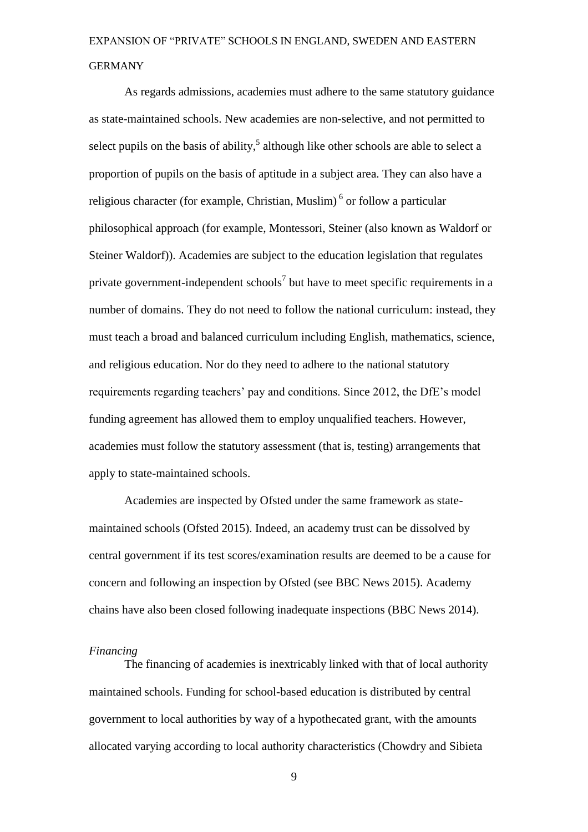As regards admissions, academies must adhere to the same statutory guidance as state-maintained schools. New academies are non-selective, and not permitted to select pupils on the basis of ability,<sup>5</sup> although like other schools are able to select a proportion of pupils on the basis of aptitude in a subject area. They can also have a religious character (for example, Christian, Muslim)<sup>6</sup> or follow a particular philosophical approach (for example, Montessori, Steiner (also known as Waldorf or Steiner Waldorf)). Academies are subject to the education legislation that regulates private government-independent schools<sup>7</sup> but have to meet specific requirements in a number of domains. They do not need to follow the national curriculum: instead, they must teach a broad and balanced curriculum including English, mathematics, science, and religious education. Nor do they need to adhere to the national statutory requirements regarding teachers' pay and conditions. Since 2012, the DfE's model funding agreement has allowed them to employ unqualified teachers. However, academies must follow the statutory assessment (that is, testing) arrangements that apply to state-maintained schools.

Academies are inspected by Ofsted under the same framework as statemaintained schools (Ofsted 2015). Indeed, an academy trust can be dissolved by central government if its test scores/examination results are deemed to be a cause for concern and following an inspection by Ofsted (see BBC News 2015). Academy chains have also been closed following inadequate inspections (BBC News 2014).

#### *Financing*

The financing of academies is inextricably linked with that of local authority maintained schools. Funding for school-based education is distributed by central government to local authorities by way of a hypothecated grant, with the amounts allocated varying according to local authority characteristics (Chowdry and Sibieta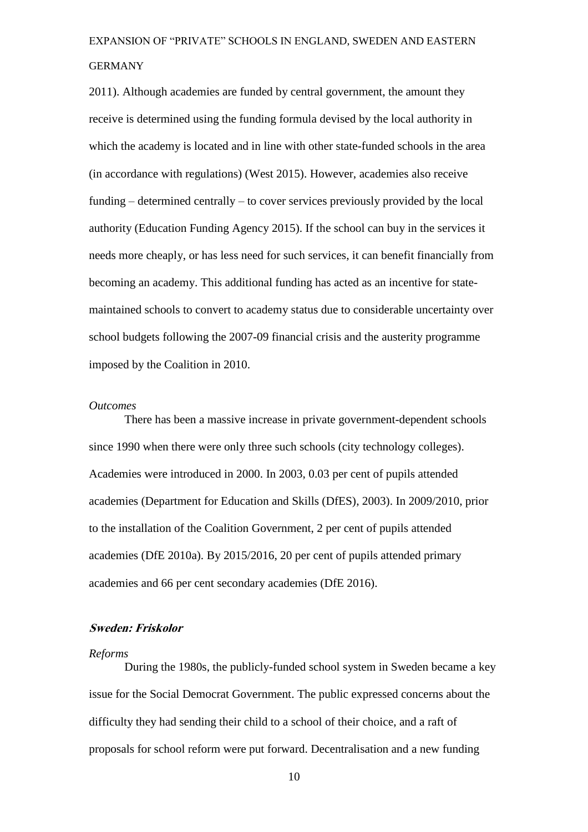2011). Although academies are funded by central government, the amount they receive is determined using the funding formula devised by the local authority in which the academy is located and in line with other state-funded schools in the area (in accordance with regulations) (West 2015). However, academies also receive funding – determined centrally – to cover services previously provided by the local authority (Education Funding Agency 2015). If the school can buy in the services it needs more cheaply, or has less need for such services, it can benefit financially from becoming an academy. This additional funding has acted as an incentive for statemaintained schools to convert to academy status due to considerable uncertainty over school budgets following the 2007-09 financial crisis and the austerity programme imposed by the Coalition in 2010.

#### *Outcomes*

There has been a massive increase in private government-dependent schools since 1990 when there were only three such schools (city technology colleges). Academies were introduced in 2000. In 2003, 0.03 per cent of pupils attended academies (Department for Education and Skills (DfES), 2003). In 2009/2010, prior to the installation of the Coalition Government, 2 per cent of pupils attended academies (DfE 2010a). By 2015/2016, 20 per cent of pupils attended primary academies and 66 per cent secondary academies (DfE 2016).

#### **Sweden: Friskolor**

#### *Reforms*

During the 1980s, the publicly-funded school system in Sweden became a key issue for the Social Democrat Government. The public expressed concerns about the difficulty they had sending their child to a school of their choice, and a raft of proposals for school reform were put forward. Decentralisation and a new funding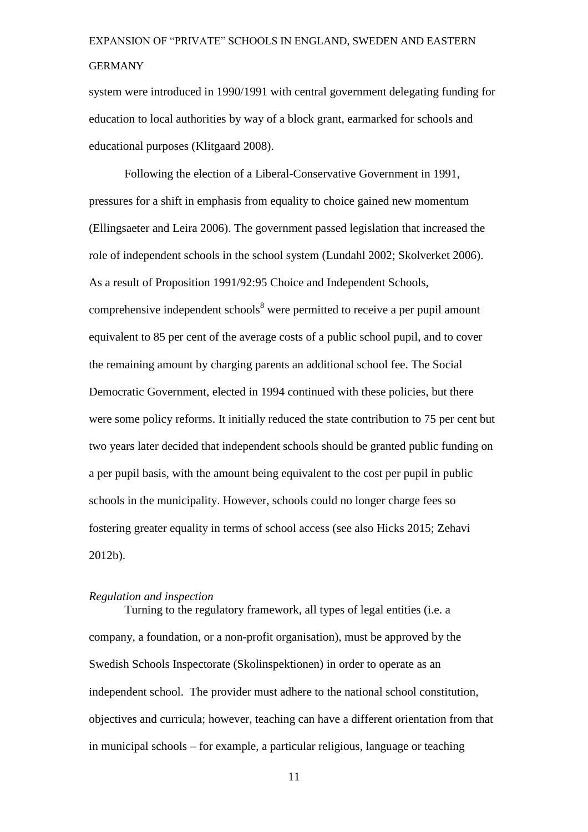system were introduced in 1990/1991 with central government delegating funding for education to local authorities by way of a block grant, earmarked for schools and educational purposes (Klitgaard 2008).

Following the election of a Liberal-Conservative Government in 1991, pressures for a shift in emphasis from equality to choice gained new momentum (Ellingsaeter and Leira 2006). The government passed legislation that increased the role of independent schools in the school system (Lundahl 2002; Skolverket 2006). As a result of Proposition 1991/92:95 Choice and Independent Schools, comprehensive independent schools<sup>8</sup> were permitted to receive a per pupil amount equivalent to 85 per cent of the average costs of a public school pupil, and to cover the remaining amount by charging parents an additional school fee. The Social Democratic Government, elected in 1994 continued with these policies, but there were some policy reforms. It initially reduced the state contribution to 75 per cent but two years later decided that independent schools should be granted public funding on a per pupil basis, with the amount being equivalent to the cost per pupil in public schools in the municipality. However, schools could no longer charge fees so fostering greater equality in terms of school access (see also Hicks 2015; Zehavi 2012b).

#### *Regulation and inspection*

Turning to the regulatory framework, all types of legal entities (i.e. a company, a foundation, or a non-profit organisation), must be approved by the Swedish Schools Inspectorate (Skolinspektionen) in order to operate as an independent school. The provider must adhere to the national school constitution, objectives and curricula; however, teaching can have a different orientation from that in municipal schools – for example, a particular religious, language or teaching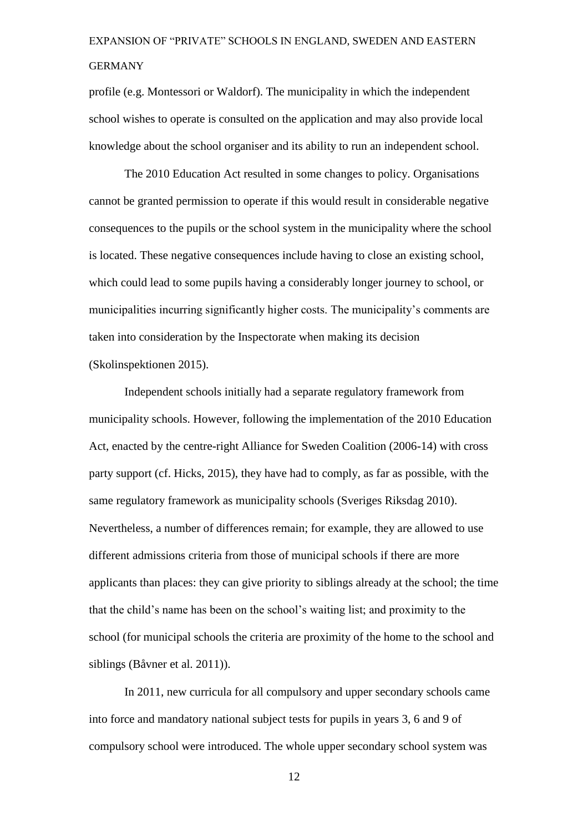profile (e.g. Montessori or Waldorf). The municipality in which the independent school wishes to operate is consulted on the application and may also provide local knowledge about the school organiser and its ability to run an independent school.

The 2010 Education Act resulted in some changes to policy. Organisations cannot be granted permission to operate if this would result in considerable negative consequences to the pupils or the school system in the municipality where the school is located. These negative consequences include having to close an existing school, which could lead to some pupils having a considerably longer journey to school, or municipalities incurring significantly higher costs. The municipality's comments are taken into consideration by the Inspectorate when making its decision (Skolinspektionen 2015).

Independent schools initially had a separate regulatory framework from municipality schools. However, following the implementation of the 2010 Education Act, enacted by the centre-right Alliance for Sweden Coalition (2006-14) with cross party support (cf. Hicks, 2015), they have had to comply, as far as possible, with the same regulatory framework as municipality schools (Sveriges Riksdag 2010). Nevertheless, a number of differences remain; for example, they are allowed to use different admissions criteria from those of municipal schools if there are more applicants than places: they can give priority to siblings already at the school; the time that the child's name has been on the school's waiting list; and proximity to the school (for municipal schools the criteria are proximity of the home to the school and siblings (Båvner et al. 2011)).

In 2011, new curricula for all compulsory and upper secondary schools came into force and mandatory national subject tests for pupils in years 3, 6 and 9 of compulsory school were introduced. The whole upper secondary school system was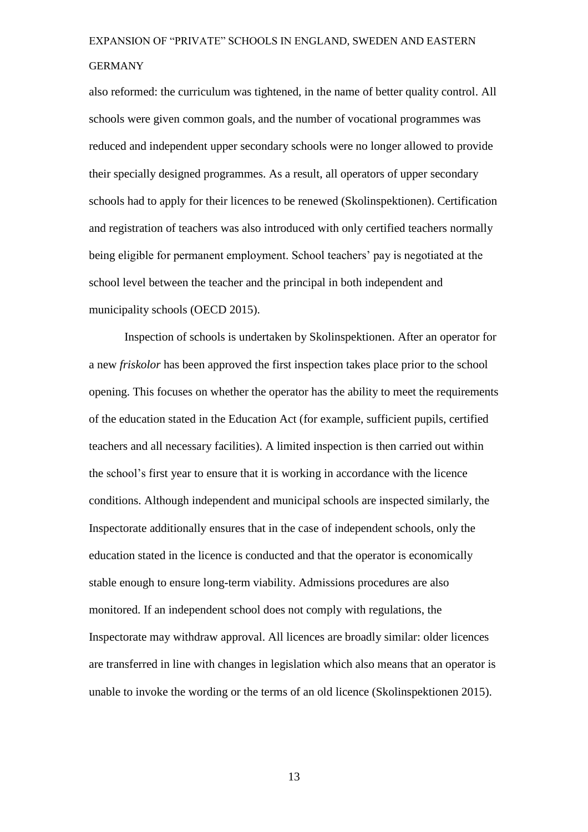also reformed: the curriculum was tightened, in the name of better quality control. All schools were given common goals, and the number of vocational programmes was reduced and independent upper secondary schools were no longer allowed to provide their specially designed programmes. As a result, all operators of upper secondary schools had to apply for their licences to be renewed (Skolinspektionen). Certification and registration of teachers was also introduced with only certified teachers normally being eligible for permanent employment. School teachers' pay is negotiated at the school level between the teacher and the principal in both independent and municipality schools (OECD 2015).

Inspection of schools is undertaken by Skolinspektionen. After an operator for a new *friskolor* has been approved the first inspection takes place prior to the school opening. This focuses on whether the operator has the ability to meet the requirements of the education stated in the Education Act (for example, sufficient pupils, certified teachers and all necessary facilities). A limited inspection is then carried out within the school's first year to ensure that it is working in accordance with the licence conditions. Although independent and municipal schools are inspected similarly, the Inspectorate additionally ensures that in the case of independent schools, only the education stated in the licence is conducted and that the operator is economically stable enough to ensure long-term viability. Admissions procedures are also monitored. If an independent school does not comply with regulations, the Inspectorate may withdraw approval. All licences are broadly similar: older licences are transferred in line with changes in legislation which also means that an operator is unable to invoke the wording or the terms of an old licence (Skolinspektionen 2015).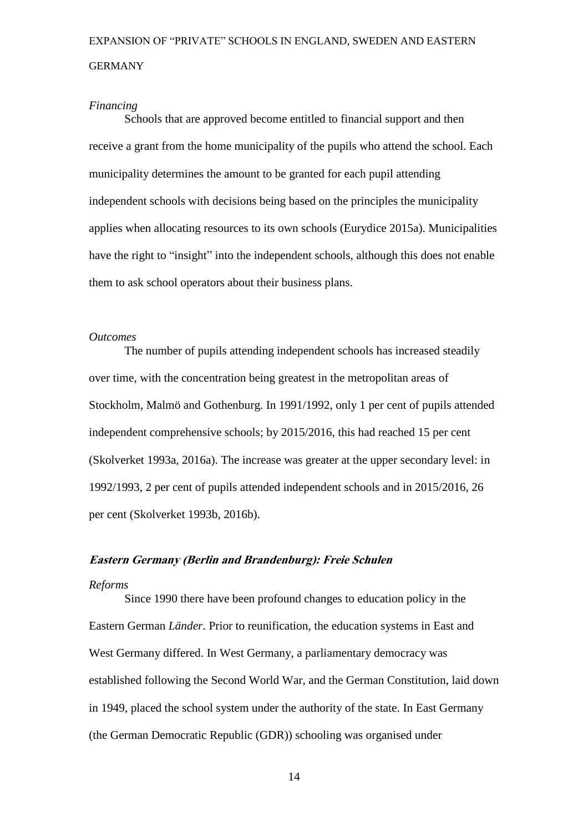#### *Financing*

Schools that are approved become entitled to financial support and then receive a grant from the home municipality of the pupils who attend the school. Each municipality determines the amount to be granted for each pupil attending independent schools with decisions being based on the principles the municipality applies when allocating resources to its own schools (Eurydice 2015a). Municipalities have the right to "insight" into the independent schools, although this does not enable them to ask school operators about their business plans.

#### *Outcomes*

The number of pupils attending independent schools has increased steadily over time, with the concentration being greatest in the metropolitan areas of Stockholm, Malmö and Gothenburg. In 1991/1992, only 1 per cent of pupils attended independent comprehensive schools; by 2015/2016, this had reached 15 per cent (Skolverket 1993a, 2016a). The increase was greater at the upper secondary level: in 1992/1993, 2 per cent of pupils attended independent schools and in 2015/2016, 26 per cent (Skolverket 1993b, 2016b).

#### **Eastern Germany (Berlin and Brandenburg): Freie Schulen**

#### *Reforms*

Since 1990 there have been profound changes to education policy in the Eastern German *Länder*. Prior to reunification, the education systems in East and West Germany differed. In West Germany, a parliamentary democracy was established following the Second World War, and the German Constitution, laid down in 1949, placed the school system under the authority of the state. In East Germany (the German Democratic Republic (GDR)) schooling was organised under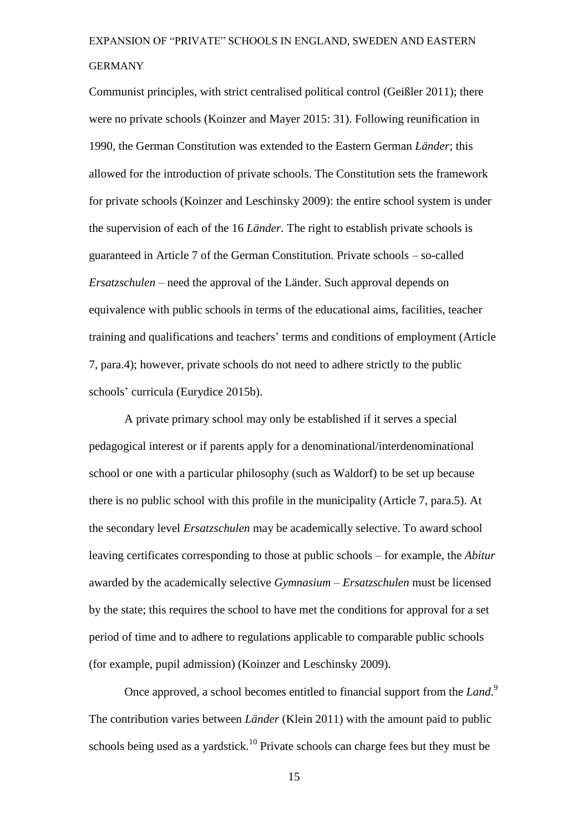Communist principles, with strict centralised political control (Geißler 2011); there were no private schools (Koinzer and Mayer 2015: 31). Following reunification in 1990, the German Constitution was extended to the Eastern German *Länder*; this allowed for the introduction of private schools. The Constitution sets the framework for private schools (Koinzer and Leschinsky 2009): the entire school system is under the supervision of each of the 16 *Länder.* The right to establish private schools is guaranteed in Article 7 of the German Constitution. Private schools – so-called *Ersatzschulen –* need the approval of the Länder. Such approval depends on equivalence with public schools in terms of the educational aims, facilities, teacher training and qualifications and teachers' terms and conditions of employment (Article 7, para.4); however, private schools do not need to adhere strictly to the public schools' curricula (Eurydice 2015b).

A private primary school may only be established if it serves a special pedagogical interest or if parents apply for a denominational/interdenominational school or one with a particular philosophy (such as Waldorf) to be set up because there is no public school with this profile in the municipality (Article 7, para.5). At the secondary level *Ersatzschulen* may be academically selective. To award school leaving certificates corresponding to those at public schools – for example, the *Abitur*  awarded by the academically selective *Gymnasium – Ersatzschulen* must be licensed by the state; this requires the school to have met the conditions for approval for a set period of time and to adhere to regulations applicable to comparable public schools (for example, pupil admission) (Koinzer and Leschinsky 2009).

Once approved, a school becomes entitled to financial support from the *Land*. 9 The contribution varies between *Länder* (Klein 2011) with the amount paid to public schools being used as a yardstick.<sup>10</sup> Private schools can charge fees but they must be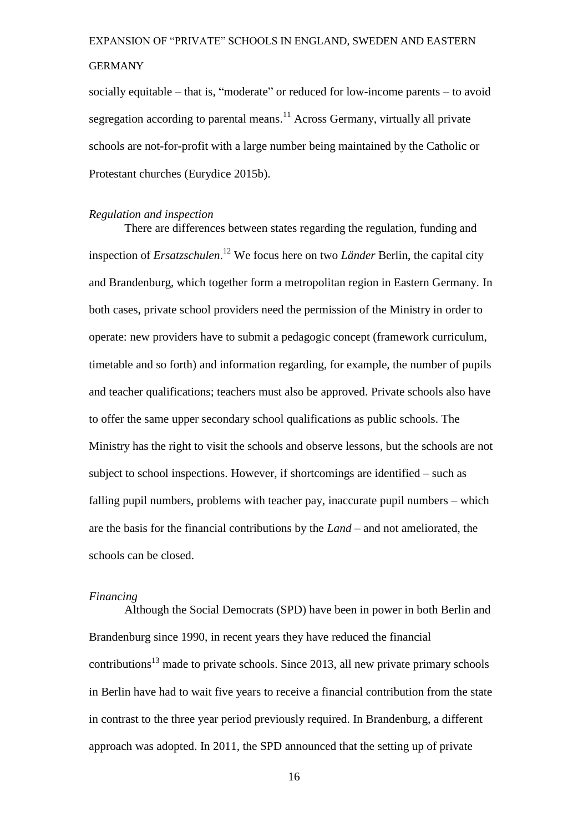#### GERMANY

socially equitable – that is, "moderate" or reduced for low-income parents – to avoid segregation according to parental means.<sup>11</sup> Across Germany, virtually all private schools are not-for-profit with a large number being maintained by the Catholic or Protestant churches (Eurydice 2015b).

#### *Regulation and inspection*

There are differences between states regarding the regulation, funding and inspection of *Ersatzschulen*. <sup>12</sup> We focus here on two *Länder* Berlin, the capital city and Brandenburg, which together form a metropolitan region in Eastern Germany. In both cases, private school providers need the permission of the Ministry in order to operate: new providers have to submit a pedagogic concept (framework curriculum, timetable and so forth) and information regarding, for example, the number of pupils and teacher qualifications; teachers must also be approved. Private schools also have to offer the same upper secondary school qualifications as public schools. The Ministry has the right to visit the schools and observe lessons, but the schools are not subject to school inspections. However, if shortcomings are identified – such as falling pupil numbers, problems with teacher pay, inaccurate pupil numbers – which are the basis for the financial contributions by the *Land* – and not ameliorated, the schools can be closed.

#### *Financing*

Although the Social Democrats (SPD) have been in power in both Berlin and Brandenburg since 1990, in recent years they have reduced the financial  $\text{contributions}^{13}$  made to private schools. Since 2013, all new private primary schools in Berlin have had to wait five years to receive a financial contribution from the state in contrast to the three year period previously required. In Brandenburg, a different approach was adopted. In 2011, the SPD announced that the setting up of private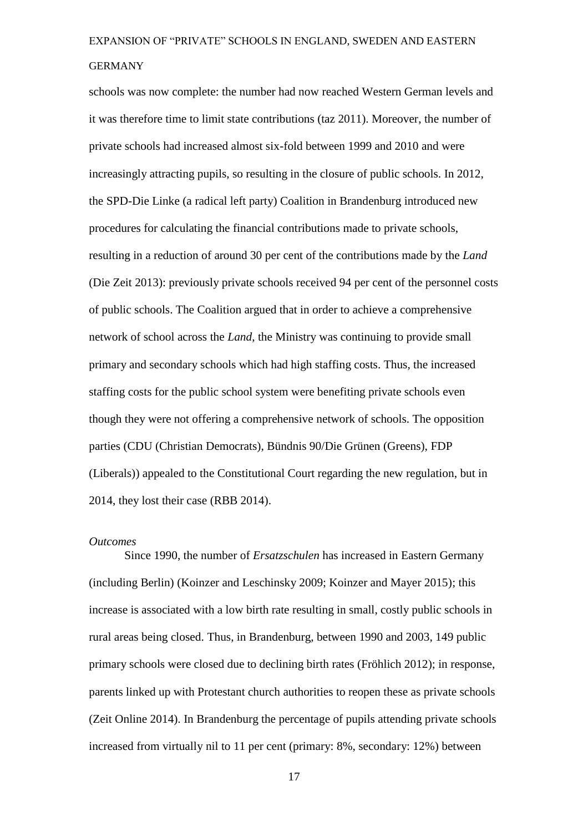schools was now complete: the number had now reached Western German levels and it was therefore time to limit state contributions (taz 2011). Moreover, the number of private schools had increased almost six-fold between 1999 and 2010 and were increasingly attracting pupils, so resulting in the closure of public schools. In 2012, the SPD-Die Linke (a radical left party) Coalition in Brandenburg introduced new procedures for calculating the financial contributions made to private schools, resulting in a reduction of around 30 per cent of the contributions made by the *Land* (Die Zeit 2013): previously private schools received 94 per cent of the personnel costs of public schools. The Coalition argued that in order to achieve a comprehensive network of school across the *Land*, the Ministry was continuing to provide small primary and secondary schools which had high staffing costs. Thus, the increased staffing costs for the public school system were benefiting private schools even though they were not offering a comprehensive network of schools. The opposition parties (CDU (Christian Democrats), Bündnis 90/Die Grünen (Greens), FDP (Liberals)) appealed to the Constitutional Court regarding the new regulation, but in 2014, they lost their case (RBB 2014).

#### *Outcomes*

Since 1990, the number of *Ersatzschulen* has increased in Eastern Germany (including Berlin) (Koinzer and Leschinsky 2009; Koinzer and Mayer 2015); this increase is associated with a low birth rate resulting in small, costly public schools in rural areas being closed. Thus, in Brandenburg, between 1990 and 2003, 149 public primary schools were closed due to declining birth rates (Fröhlich 2012); in response, parents linked up with Protestant church authorities to reopen these as private schools (Zeit Online 2014). In Brandenburg the percentage of pupils attending private schools increased from virtually nil to 11 per cent (primary: 8%, secondary: 12%) between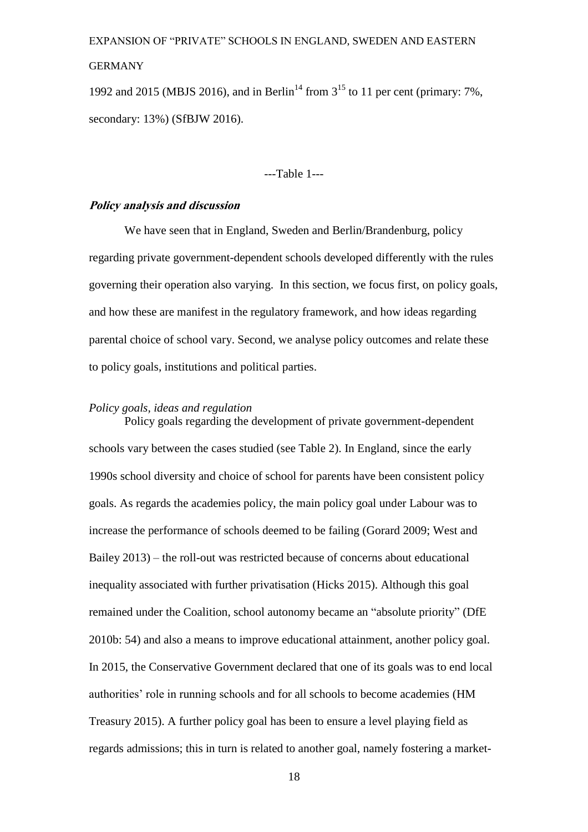#### GERMANY

1992 and 2015 (MBJS 2016), and in Berlin<sup>14</sup> from  $3^{15}$  to 11 per cent (primary: 7%, secondary: 13%) (SfBJW 2016).

---Table 1---

#### **Policy analysis and discussion**

We have seen that in England, Sweden and Berlin/Brandenburg, policy regarding private government-dependent schools developed differently with the rules governing their operation also varying. In this section, we focus first, on policy goals, and how these are manifest in the regulatory framework, and how ideas regarding parental choice of school vary. Second, we analyse policy outcomes and relate these to policy goals, institutions and political parties.

#### *Policy goals, ideas and regulation*

Policy goals regarding the development of private government-dependent schools vary between the cases studied (see Table 2). In England, since the early 1990s school diversity and choice of school for parents have been consistent policy goals. As regards the academies policy, the main policy goal under Labour was to increase the performance of schools deemed to be failing (Gorard 2009; West and Bailey 2013) – the roll-out was restricted because of concerns about educational inequality associated with further privatisation (Hicks 2015). Although this goal remained under the Coalition, school autonomy became an "absolute priority" (DfE 2010b: 54) and also a means to improve educational attainment, another policy goal. In 2015, the Conservative Government declared that one of its goals was to end local authorities' role in running schools and for all schools to become academies (HM Treasury 2015). A further policy goal has been to ensure a level playing field as regards admissions; this in turn is related to another goal, namely fostering a market-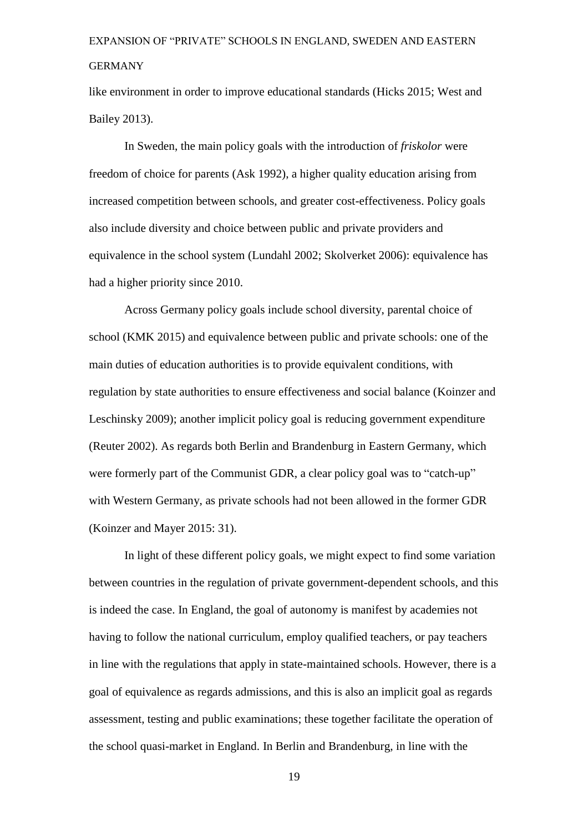like environment in order to improve educational standards (Hicks 2015; West and Bailey 2013).

In Sweden, the main policy goals with the introduction of *friskolor* were freedom of choice for parents (Ask 1992), a higher quality education arising from increased competition between schools, and greater cost-effectiveness. Policy goals also include diversity and choice between public and private providers and equivalence in the school system (Lundahl 2002; Skolverket 2006): equivalence has had a higher priority since 2010.

Across Germany policy goals include school diversity, parental choice of school (KMK 2015) and equivalence between public and private schools: one of the main duties of education authorities is to provide equivalent conditions, with regulation by state authorities to ensure effectiveness and social balance (Koinzer and Leschinsky 2009); another implicit policy goal is reducing government expenditure (Reuter 2002). As regards both Berlin and Brandenburg in Eastern Germany, which were formerly part of the Communist GDR, a clear policy goal was to "catch-up" with Western Germany, as private schools had not been allowed in the former GDR (Koinzer and Mayer 2015: 31).

In light of these different policy goals, we might expect to find some variation between countries in the regulation of private government-dependent schools, and this is indeed the case. In England, the goal of autonomy is manifest by academies not having to follow the national curriculum, employ qualified teachers, or pay teachers in line with the regulations that apply in state-maintained schools. However, there is a goal of equivalence as regards admissions, and this is also an implicit goal as regards assessment, testing and public examinations; these together facilitate the operation of the school quasi-market in England. In Berlin and Brandenburg, in line with the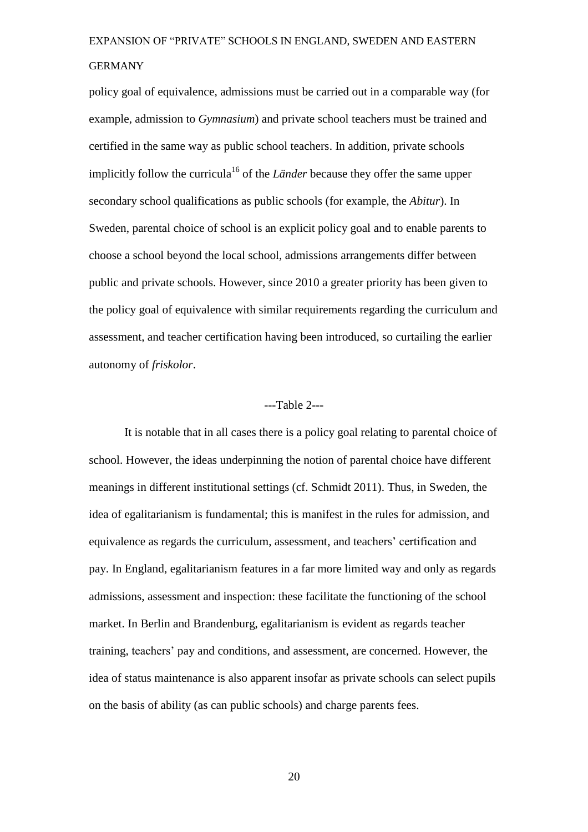policy goal of equivalence, admissions must be carried out in a comparable way (for example, admission to *Gymnasium*) and private school teachers must be trained and certified in the same way as public school teachers. In addition, private schools implicitly follow the curricula<sup>16</sup> of the *Länder* because they offer the same upper secondary school qualifications as public schools (for example, the *Abitur*). In Sweden, parental choice of school is an explicit policy goal and to enable parents to choose a school beyond the local school, admissions arrangements differ between public and private schools. However, since 2010 a greater priority has been given to the policy goal of equivalence with similar requirements regarding the curriculum and assessment, and teacher certification having been introduced, so curtailing the earlier autonomy of *friskolor*.

#### ---Table 2---

It is notable that in all cases there is a policy goal relating to parental choice of school. However, the ideas underpinning the notion of parental choice have different meanings in different institutional settings (cf. Schmidt 2011). Thus, in Sweden, the idea of egalitarianism is fundamental; this is manifest in the rules for admission, and equivalence as regards the curriculum, assessment, and teachers' certification and pay. In England, egalitarianism features in a far more limited way and only as regards admissions, assessment and inspection: these facilitate the functioning of the school market. In Berlin and Brandenburg, egalitarianism is evident as regards teacher training, teachers' pay and conditions, and assessment, are concerned. However, the idea of status maintenance is also apparent insofar as private schools can select pupils on the basis of ability (as can public schools) and charge parents fees.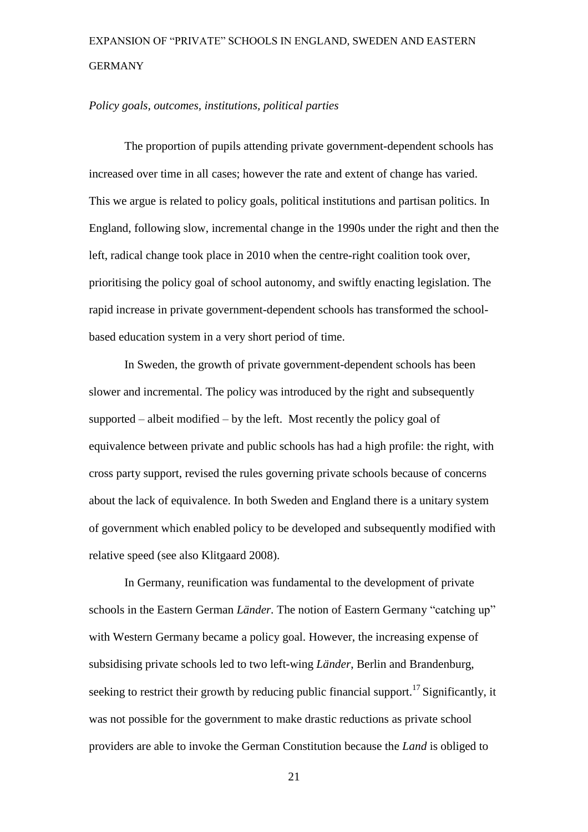#### *Policy goals, outcomes, institutions, political parties*

The proportion of pupils attending private government-dependent schools has increased over time in all cases; however the rate and extent of change has varied. This we argue is related to policy goals, political institutions and partisan politics. In England, following slow, incremental change in the 1990s under the right and then the left, radical change took place in 2010 when the centre-right coalition took over, prioritising the policy goal of school autonomy, and swiftly enacting legislation. The rapid increase in private government-dependent schools has transformed the schoolbased education system in a very short period of time.

In Sweden, the growth of private government-dependent schools has been slower and incremental. The policy was introduced by the right and subsequently supported – albeit modified – by the left. Most recently the policy goal of equivalence between private and public schools has had a high profile: the right, with cross party support, revised the rules governing private schools because of concerns about the lack of equivalence. In both Sweden and England there is a unitary system of government which enabled policy to be developed and subsequently modified with relative speed (see also Klitgaard 2008).

In Germany, reunification was fundamental to the development of private schools in the Eastern German *Länder.* The notion of Eastern Germany "catching up" with Western Germany became a policy goal. However, the increasing expense of subsidising private schools led to two left-wing *Länder*, Berlin and Brandenburg, seeking to restrict their growth by reducing public financial support.<sup>17</sup> Significantly, it was not possible for the government to make drastic reductions as private school providers are able to invoke the German Constitution because the *Land* is obliged to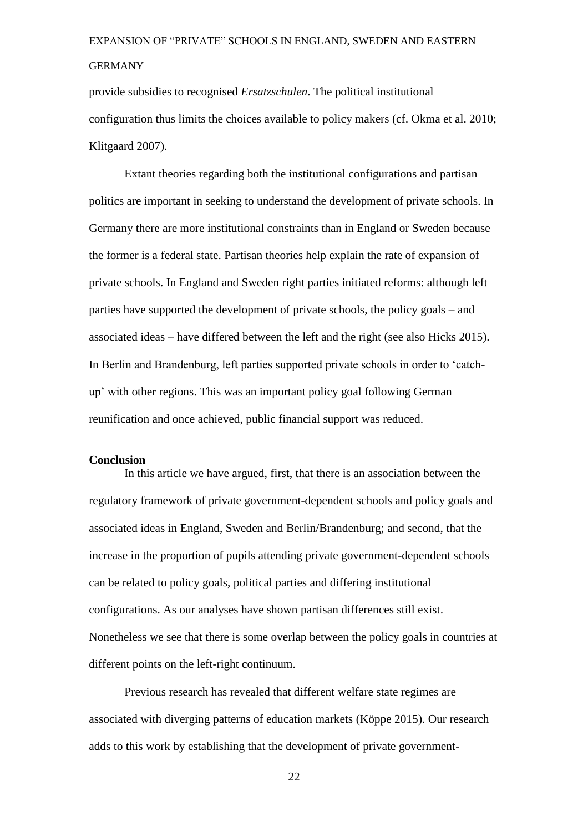provide subsidies to recognised *Ersatzschulen*. The political institutional configuration thus limits the choices available to policy makers (cf. Okma et al. 2010; Klitgaard 2007).

Extant theories regarding both the institutional configurations and partisan politics are important in seeking to understand the development of private schools. In Germany there are more institutional constraints than in England or Sweden because the former is a federal state. Partisan theories help explain the rate of expansion of private schools. In England and Sweden right parties initiated reforms: although left parties have supported the development of private schools, the policy goals – and associated ideas – have differed between the left and the right (see also Hicks 2015). In Berlin and Brandenburg, left parties supported private schools in order to 'catchup' with other regions. This was an important policy goal following German reunification and once achieved, public financial support was reduced.

#### **Conclusion**

In this article we have argued, first, that there is an association between the regulatory framework of private government-dependent schools and policy goals and associated ideas in England, Sweden and Berlin/Brandenburg; and second, that the increase in the proportion of pupils attending private government-dependent schools can be related to policy goals, political parties and differing institutional configurations. As our analyses have shown partisan differences still exist. Nonetheless we see that there is some overlap between the policy goals in countries at different points on the left-right continuum.

Previous research has revealed that different welfare state regimes are associated with diverging patterns of education markets (Köppe 2015). Our research adds to this work by establishing that the development of private government-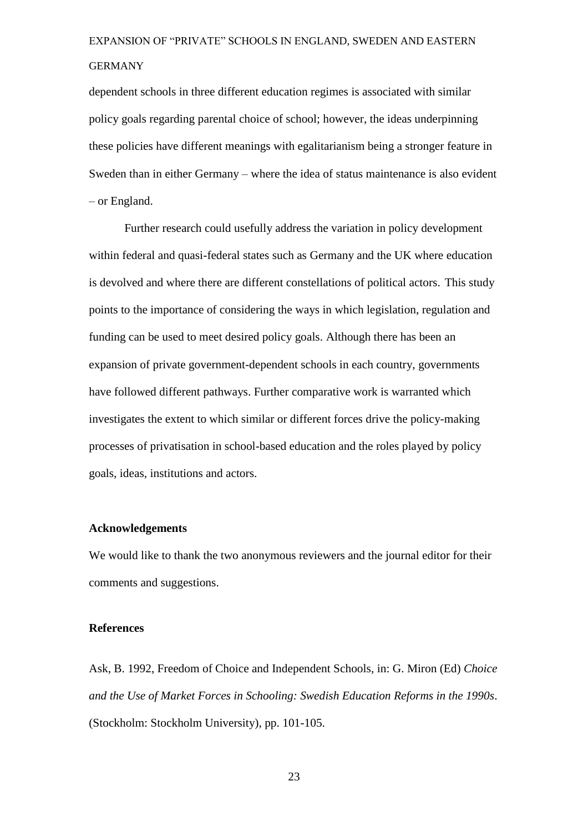dependent schools in three different education regimes is associated with similar policy goals regarding parental choice of school; however, the ideas underpinning these policies have different meanings with egalitarianism being a stronger feature in Sweden than in either Germany – where the idea of status maintenance is also evident – or England.

Further research could usefully address the variation in policy development within federal and quasi-federal states such as Germany and the UK where education is devolved and where there are different constellations of political actors. This study points to the importance of considering the ways in which legislation, regulation and funding can be used to meet desired policy goals. Although there has been an expansion of private government-dependent schools in each country, governments have followed different pathways. Further comparative work is warranted which investigates the extent to which similar or different forces drive the policy-making processes of privatisation in school-based education and the roles played by policy goals, ideas, institutions and actors.

#### **Acknowledgements**

We would like to thank the two anonymous reviewers and the journal editor for their comments and suggestions.

#### **References**

Ask, B. 1992, Freedom of Choice and Independent Schools, in: G. Miron (Ed) *Choice and the Use of Market Forces in Schooling: Swedish Education Reforms in the 1990s*. (Stockholm: Stockholm University), pp. 101-105.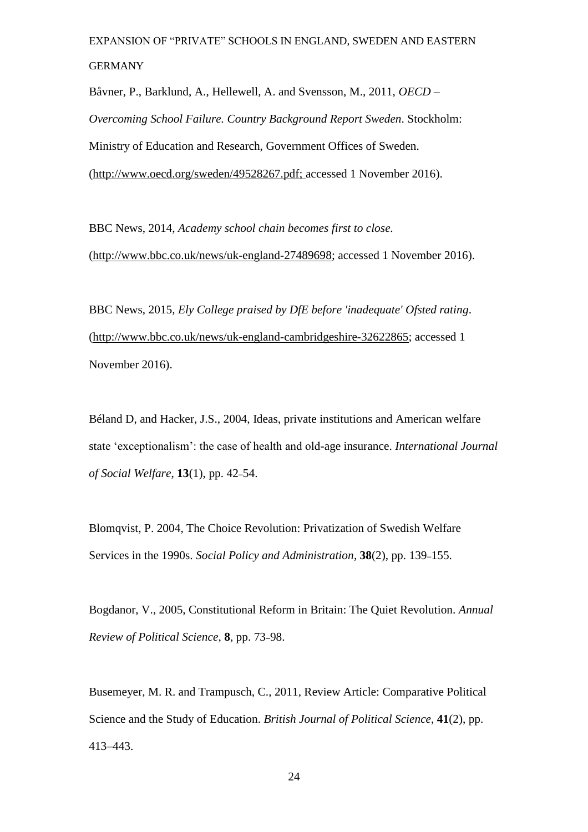Båvner, P., Barklund, A., Hellewell, A. and Svensson, M., 2011, *OECD – Overcoming School Failure. Country Background Report Sweden*. Stockholm: Ministry of Education and Research, Government Offices of Sweden. [\(http://www.oecd.org/sweden/49528267.pdf;](http://www.oecd.org/sweden/49528267.pdf) accessed 1 November 2016).

BBC News, 2014, *Academy school chain becomes first to close.* [\(http://www.bbc.co.uk/news/uk-england-27489698;](http://www.bbc.co.uk/news/uk-england-27489698) accessed 1 November 2016).

BBC News, 2015*, Ely College praised by DfE before 'inadequate' Ofsted rating*. [\(http://www.bbc.co.uk/news/uk-england-cambridgeshire-32622865;](http://www.bbc.co.uk/news/uk-england-cambridgeshire-32622865) accessed 1 November 2016).

Béland D, and Hacker, J.S., 2004, Ideas, private institutions and American welfare state 'exceptionalism': the case of health and old-age insurance. *International Journal of Social Welfare*, **13**(1), pp. 42–54.

Blomqvist, P. 2004, The Choice Revolution: Privatization of Swedish Welfare Services in the 1990s. *Social Policy and Administration*, **38**(2), pp. 139–155.

Bogdanor, V., 2005, Constitutional Reform in Britain: The Quiet Revolution. *Annual Review of Political Science*, **8**, pp. 73–98.

Busemeyer, M. R. and Trampusch, C., 2011, Review Article: Comparative Political Science and the Study of Education. *British Journal of Political Science*, **41**(2), pp. 413–443.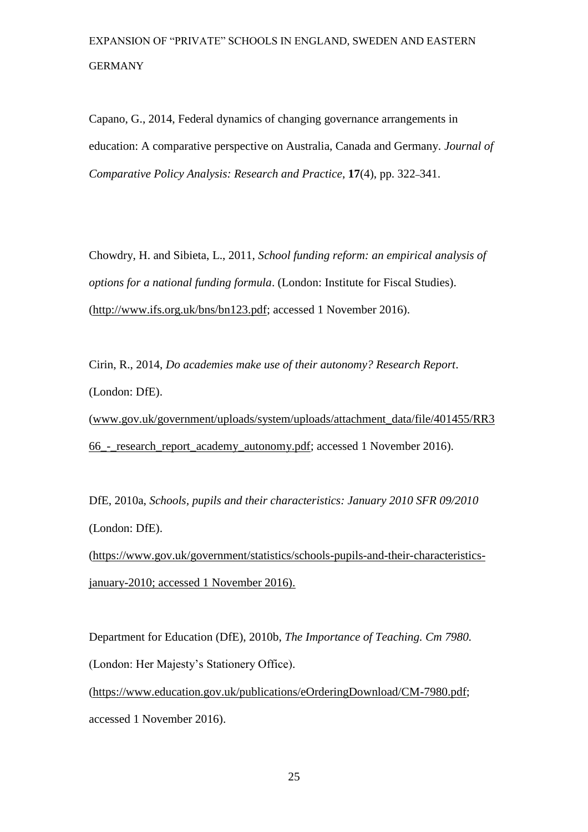Capano, G., 2014, Federal dynamics of changing governance arrangements in education: A comparative perspective on Australia, Canada and Germany. *Journal of Comparative Policy Analysis: Research and Practice*, **17**(4), pp. 322–341.

Chowdry, H. and Sibieta, L., 2011, *School funding reform: an empirical analysis of options for a national funding formula*. (London: Institute for Fiscal Studies). [\(http://www.ifs.org.uk/bns/bn123.pdf;](http://www.ifs.org.uk/bns/bn123.pdf) accessed 1 November 2016).

Cirin, R., 2014, *Do academies make use of their autonomy? Research Report*. (London: DfE).

[\(www.gov.uk/government/uploads/system/uploads/attachment\\_data/file/401455/RR3](http://www.gov.uk/government/uploads/system/uploads/attachment_data/file/401455/RR366_-_research_report_academy_autonomy.pdf) [66\\_-\\_research\\_report\\_academy\\_autonomy.pdf;](http://www.gov.uk/government/uploads/system/uploads/attachment_data/file/401455/RR366_-_research_report_academy_autonomy.pdf) accessed 1 November 2016).

DfE, 2010a, *Schools, pupils and their characteristics: January 2010 SFR 09/2010* (London: DfE).

[\(https://www.gov.uk/government/statistics/schools-pupils-and-their-characteristics](https://www.gov.uk/government/statistics/schools-pupils-and-their-characteristics-january-2010)[january-2010;](https://www.gov.uk/government/statistics/schools-pupils-and-their-characteristics-january-2010) accessed 1 November 2016).

Department for Education (DfE), 2010b, *The Importance of Teaching. Cm 7980.* (London: Her Majesty's Stationery Office).

[\(https://www.education.gov.uk/publications/eOrderingDownload/CM-7980.pdf;](https://www.education.gov.uk/publications/eOrderingDownload/CM-7980.pdf) accessed 1 November 2016).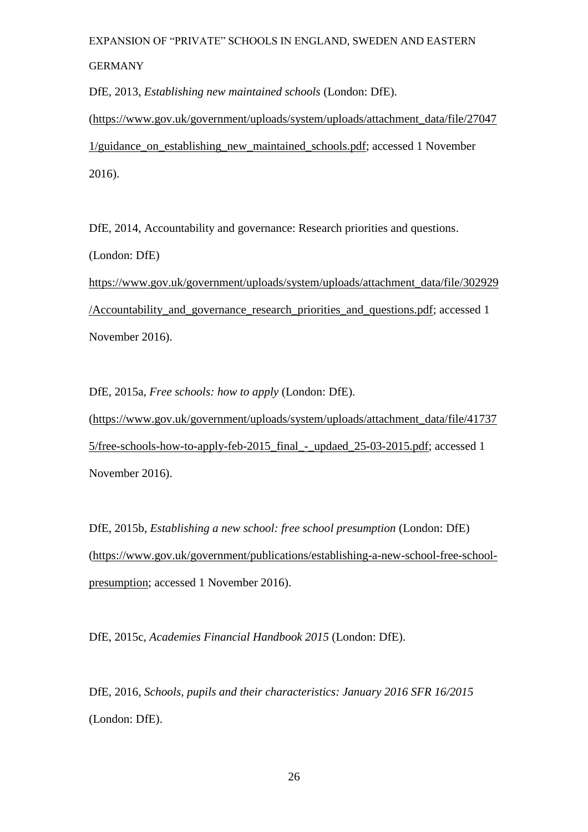DfE, 2013, *Establishing new maintained schools* (London: DfE).

[\(https://www.gov.uk/government/uploads/system/uploads/attachment\\_data/file/27047](https://www.gov.uk/government/uploads/system/uploads/attachment_data/file/270471/guidance_on_establishing_new_maintained_schools.pdf) 1/guidance on establishing new maintained schools.pdf; accessed 1 November 2016).

DfE, 2014, Accountability and governance: Research priorities and questions. (London: DfE)

[https://www.gov.uk/government/uploads/system/uploads/attachment\\_data/file/302929](https://www.gov.uk/government/uploads/system/uploads/attachment_data/file/302929/Accountability_and_governance_research_priorities_and_questions.pdf) [/Accountability\\_and\\_governance\\_research\\_priorities\\_and\\_questions.pdf;](https://www.gov.uk/government/uploads/system/uploads/attachment_data/file/302929/Accountability_and_governance_research_priorities_and_questions.pdf) accessed 1 November 2016).

DfE, 2015a, *Free schools: how to apply* (London: DfE).

[\(https://www.gov.uk/government/uploads/system/uploads/attachment\\_data/file/41737](https://www.gov.uk/government/uploads/system/uploads/attachment_data/file/417375/free-schools-how-to-apply-feb-2015_final_-_updaed_25-03-2015.pdf) [5/free-schools-how-to-apply-feb-2015\\_final\\_-\\_updaed\\_25-03-2015.pdf;](https://www.gov.uk/government/uploads/system/uploads/attachment_data/file/417375/free-schools-how-to-apply-feb-2015_final_-_updaed_25-03-2015.pdf) accessed 1 November 2016).

DfE, 2015b, *Establishing a new school: free school presumption* (London: DfE) [\(https://www.gov.uk/government/publications/establishing-a-new-school-free-school](https://www.gov.uk/government/publications/establishing-a-new-school-free-school-presumption)[presumption;](https://www.gov.uk/government/publications/establishing-a-new-school-free-school-presumption) accessed 1 November 2016).

DfE, 2015c, *Academies Financial Handbook 2015* (London: DfE).

DfE, 2016, *Schools, pupils and their characteristics: January 2016 SFR 16/2015* (London: DfE).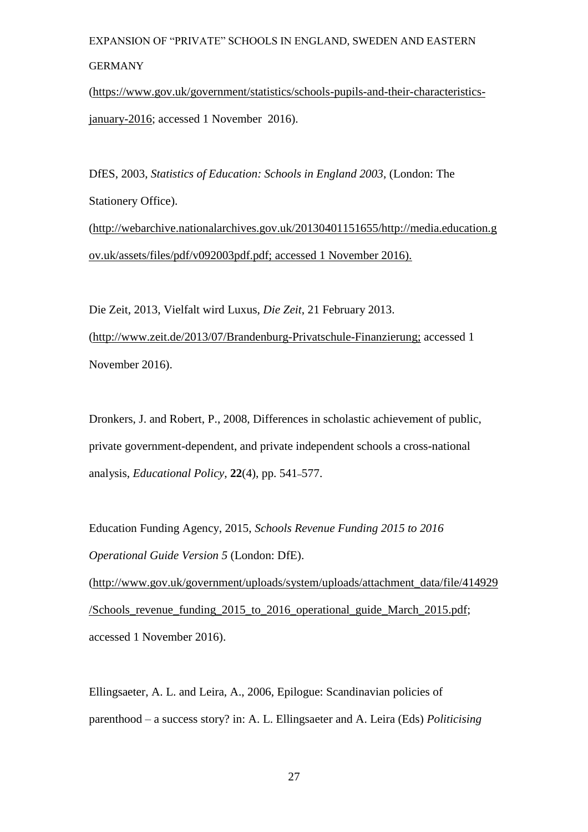#### GERMANY

[\(https://www.gov.uk/government/statistics/schools-pupils-and-their-characteristics](https://www.gov.uk/government/statistics/schools-pupils-and-their-characteristics-january-2016)[january-2016;](https://www.gov.uk/government/statistics/schools-pupils-and-their-characteristics-january-2016) accessed 1 November 2016).

DfES, 2003, *Statistics of Education: Schools in England 2003*, (London: The Stationery Office). [\(http://webarchive.nationalarchives.gov.uk/20130401151655/http://media.education.g](http://webarchive.nationalarchives.gov.uk/20130401151655/http:/media.education.gov.uk/assets/files/pdf/v092003pdf.pdf) [ov.uk/assets/files/pdf/v092003pdf.pdf;](http://webarchive.nationalarchives.gov.uk/20130401151655/http:/media.education.gov.uk/assets/files/pdf/v092003pdf.pdf) accessed 1 November 2016).

Die Zeit, 2013, Vielfalt wird Luxus, *Die Zeit*, 21 February 2013. [\(http://www.zeit.de/2013/07/Brandenburg-Privatschule-Finanzierung;](http://www.zeit.de/2013/07/Brandenburg-Privatschule-Finanzierung) accessed 1 November 2016).

Dronkers, J. and Robert, P., 2008, Differences in scholastic achievement of public, private government-dependent, and private independent schools a cross-national analysis, *Educational Policy*, **22**(4), pp. 541–577.

Education Funding Agency, 2015, *Schools Revenue Funding 2015 to 2016 Operational Guide Version 5* (London: DfE).

(http:/[/www.gov.uk/government/uploads/system/uploads/attachment\\_data/file/414929](http://www.gov.uk/government/uploads/system/uploads/attachment_data/file/414929/Schools_revenue_funding_2015_to_2016_operational_guide_March_2015.pdf) [/Schools\\_revenue\\_funding\\_2015\\_to\\_2016\\_operational\\_guide\\_March\\_2015.pdf;](http://www.gov.uk/government/uploads/system/uploads/attachment_data/file/414929/Schools_revenue_funding_2015_to_2016_operational_guide_March_2015.pdf) accessed 1 November 2016).

Ellingsaeter, A. L. and Leira, A., 2006, Epilogue: Scandinavian policies of parenthood – a success story? in: A. L. Ellingsaeter and A. Leira (Eds) *Politicising*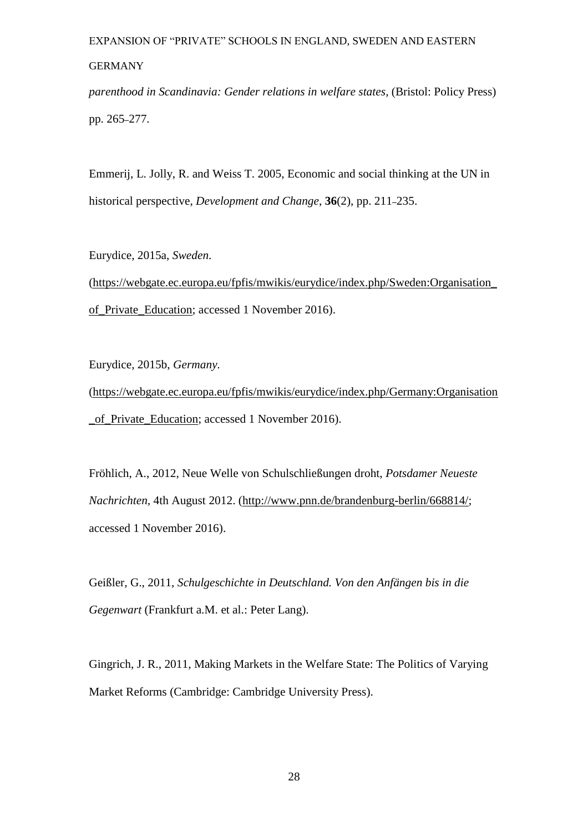*parenthood in Scandinavia: Gender relations in welfare states*, (Bristol: Policy Press) pp. 265–277.

Emmerij, L. Jolly, R. and Weiss T. 2005, Economic and social thinking at the UN in historical perspective, *Development and Change*, **36**(2), pp. 211–235.

Eurydice, 2015a, *Sweden.*

[\(https://webgate.ec.europa.eu/fpfis/mwikis/eurydice/index.php/Sweden:Organisation\\_](https://webgate.ec.europa.eu/fpfis/mwikis/eurydice/index.php/Sweden:Organisation_of_Private_Education) [of\\_Private\\_Education;](https://webgate.ec.europa.eu/fpfis/mwikis/eurydice/index.php/Sweden:Organisation_of_Private_Education) accessed 1 November 2016).

Eurydice, 2015b, *Germany.*

[\(https://webgate.ec.europa.eu/fpfis/mwikis/eurydice/index.php/Germany:Organisation](https://webgate.ec.europa.eu/fpfis/mwikis/eurydice/index.php/Germany:Organisation_of_Private_Education) of Private Education; accessed 1 November 2016).

Fröhlich, A., 2012, Neue Welle von Schulschließungen droht, *Potsdamer Neueste Nachrichten,* 4th August 2012. [\(http://www.pnn.de/brandenburg-berlin/668814/;](http://www.pnn.de/brandenburg-berlin/668814/) accessed 1 November 2016).

Geißler, G., 2011, *Schulgeschichte in Deutschland. Von den Anfängen bis in die Gegenwart* (Frankfurt a.M. et al.: Peter Lang).

Gingrich, J. R., 2011, Making Markets in the Welfare State: The Politics of Varying Market Reforms (Cambridge: Cambridge University Press).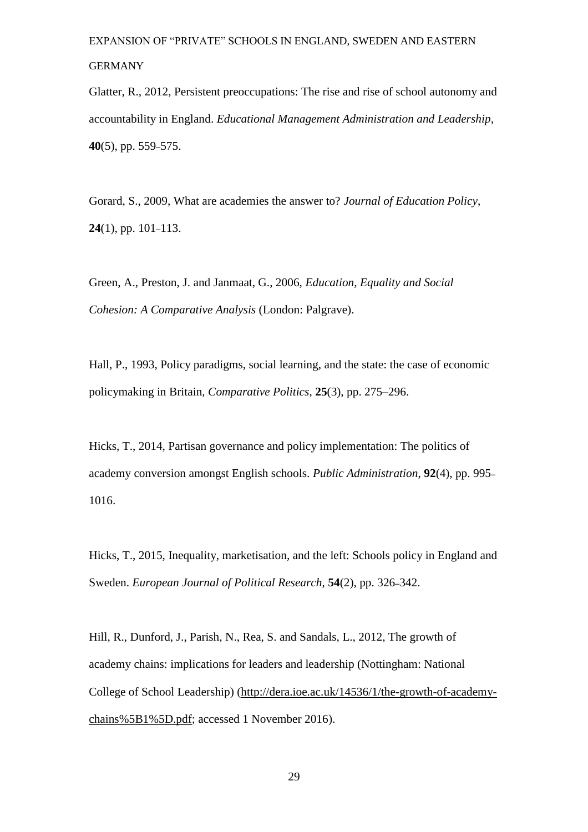Glatter, R., 2012, Persistent preoccupations: The rise and rise of school autonomy and accountability in England. *Educational Management Administration and Leadership*, **40**(5), pp. 559–575.

Gorard, S., 2009, What are academies the answer to? *Journal of Education Policy*, **24**(1), pp. 101–113.

Green, A., Preston, J. and Janmaat, G., 2006, *Education, Equality and Social Cohesion: A Comparative Analysis* (London: Palgrave).

Hall, P., 1993, Policy paradigms, social learning, and the state: the case of economic policymaking in Britain, *Comparative Politics*, **25**(3), pp. 275–296.

Hicks, T., 2014, Partisan governance and policy implementation: The politics of academy conversion amongst English schools. *Public Administration*, **92**(4), pp. 995– 1016.

Hicks, T., 2015, Inequality, marketisation, and the left: Schools policy in England and Sweden. *European Journal of Political Research*, **54**(2), pp. 326–342.

Hill, R., Dunford, J., Parish, N., Rea, S. and Sandals, L., 2012, The growth of academy chains: implications for leaders and leadership (Nottingham: National College of School Leadership) [\(http://dera.ioe.ac.uk/14536/1/the-growth-of-academy](http://dera.ioe.ac.uk/14536/1/the-growth-of-academy-chains%5B1%5D.pdf)[chains%5B1%5D.pdf;](http://dera.ioe.ac.uk/14536/1/the-growth-of-academy-chains%5B1%5D.pdf) accessed 1 November 2016).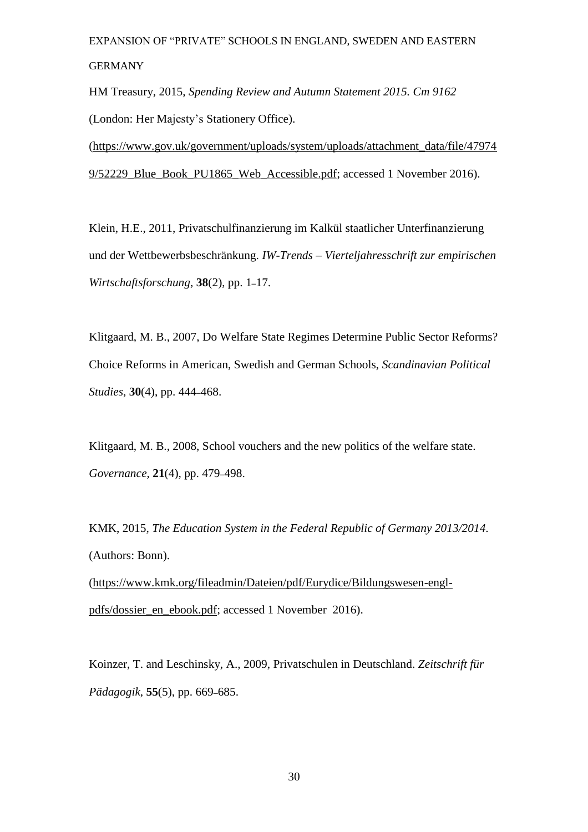HM Treasury, 2015, *Spending Review and Autumn Statement 2015. Cm 9162* (London: Her Majesty's Stationery Office).

[\(https://www.gov.uk/government/uploads/system/uploads/attachment\\_data/file/47974](https://www.gov.uk/government/uploads/system/uploads/attachment_data/file/479749/52229_Blue_Book_PU1865_Web_Accessible.pdf) [9/52229\\_Blue\\_Book\\_PU1865\\_Web\\_Accessible.pdf;](https://www.gov.uk/government/uploads/system/uploads/attachment_data/file/479749/52229_Blue_Book_PU1865_Web_Accessible.pdf) accessed 1 November 2016).

Klein, H.E., 2011, Privatschulfinanzierung im Kalkül staatlicher Unterfinanzierung und der Wettbewerbsbeschränkung. *IW-Trends – Vierteljahresschrift zur empirischen Wirtschaftsforschung*, **38**(2), pp. 1–17.

Klitgaard, M. B., 2007, Do Welfare State Regimes Determine Public Sector Reforms? Choice Reforms in American, Swedish and German Schools, *Scandinavian Political Studies*, **30**(4), pp. 444–468.

Klitgaard, M. B., 2008, School vouchers and the new politics of the welfare state. *Governance*, **21**(4), pp. 479–498.

KMK, 2015, *The Education System in the Federal Republic of Germany 2013/2014.* (Authors: Bonn).

[\(https://www.kmk.org/fileadmin/Dateien/pdf/Eurydice/Bildungswesen-engl](https://www.kmk.org/fileadmin/Dateien/pdf/Eurydice/Bildungswesen-engl-pdfs/dossier_en_ebook.pdf)[pdfs/dossier\\_en\\_ebook.pdf;](https://www.kmk.org/fileadmin/Dateien/pdf/Eurydice/Bildungswesen-engl-pdfs/dossier_en_ebook.pdf) accessed 1 November 2016).

Koinzer, T. and Leschinsky, A., 2009, Privatschulen in Deutschland. *Zeitschrift für Pädagogik*, **55**(5), pp. 669–685.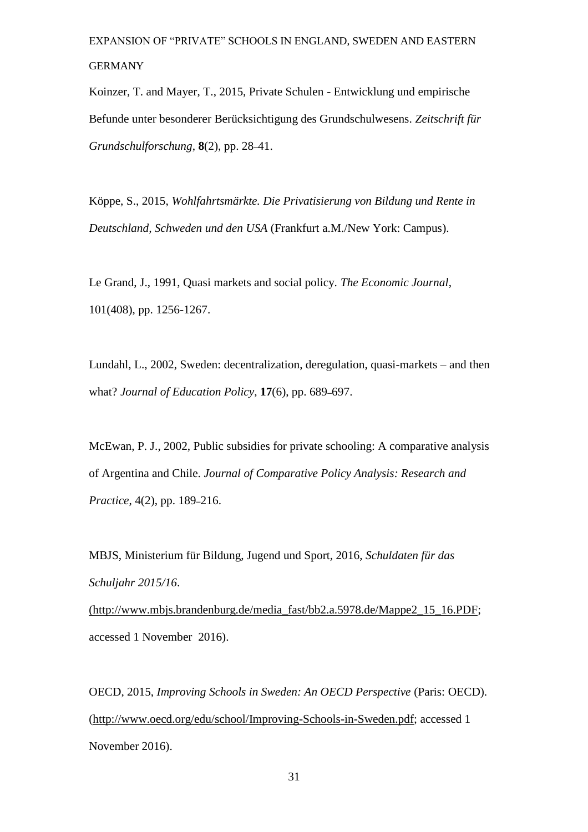Koinzer, T. and Mayer, T., 2015, Private Schulen - Entwicklung und empirische Befunde unter besonderer Berücksichtigung des Grundschulwesens. *Zeitschrift für Grundschulforschung*, **8**(2), pp. 28–41.

Köppe, S., 2015, *Wohlfahrtsmärkte. Die Privatisierung von Bildung und Rente in Deutschland, Schweden und den USA* (Frankfurt a.M./New York: Campus).

Le Grand, J., 1991, Quasi markets and social policy. *The Economic Journal*, 101(408), pp. 1256-1267.

Lundahl, L., 2002, Sweden: decentralization, deregulation, quasi-markets – and then what? *Journal of Education Policy*, **17**(6), pp. 689–697.

McEwan, P. J., 2002, Public subsidies for private schooling: A comparative analysis of Argentina and Chile. *Journal of Comparative Policy Analysis: Research and Practice*, 4(2), pp. 189–216.

MBJS, Ministerium für Bildung, Jugend und Sport, 2016, *Schuldaten für das Schuljahr 2015/16*. [\(http://www.mbjs.brandenburg.de/media\\_fast/bb2.a.5978.de/Mappe2\\_15\\_16.PDF;](http://www.mbjs.brandenburg.de/media_fast/bb2.a.5978.de/Mappe2_15_16.PDF) accessed 1 November 2016).

OECD, 2015, *Improving Schools in Sweden: An OECD Perspective* (Paris: OECD). [\(http://www.oecd.org/edu/school/Improving-Schools-in-Sweden.pdf;](http://www.oecd.org/edu/school/Improving-Schools-in-Sweden.pdf) accessed 1 November 2016).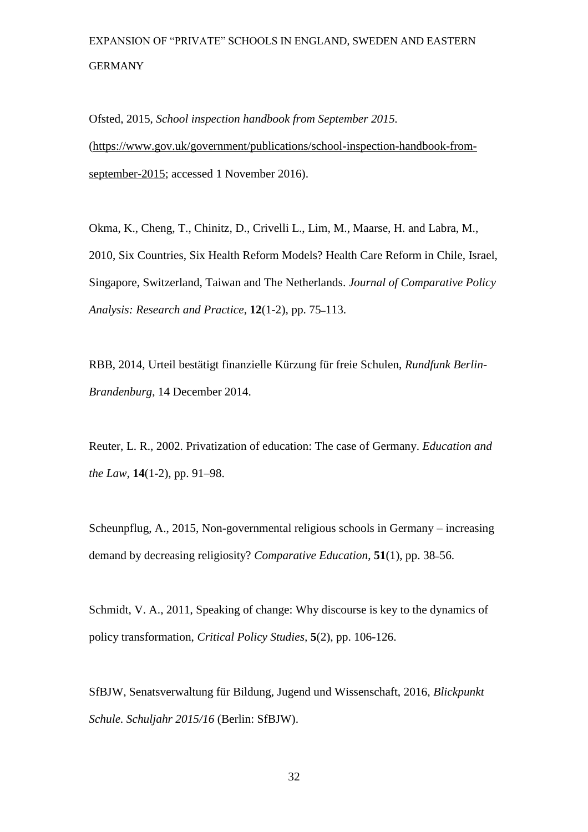Ofsted, 2015, *School inspection handbook from September 2015.* [\(https://www.gov.uk/government/publications/school-inspection-handbook-from](https://www.gov.uk/government/publications/school-inspection-handbook-from-september-2015)[september-2015;](https://www.gov.uk/government/publications/school-inspection-handbook-from-september-2015) accessed 1 November 2016).

Okma, K., Cheng, T., Chinitz, D., Crivelli L., Lim, M., Maarse, H. and Labra, M., 2010, Six Countries, Six Health Reform Models? Health Care Reform in Chile, Israel, Singapore, Switzerland, Taiwan and The Netherlands. *Journal of Comparative Policy Analysis: Research and Practice*, **12**(1-2), pp. 75–113.

RBB, 2014, Urteil bestätigt finanzielle Kürzung für freie Schulen, *Rundfunk Berlin-Brandenburg*, 14 December 2014.

Reuter, L. R., 2002. Privatization of education: The case of Germany. *Education and the Law*, **14**(1-2), pp. 91–98.

Scheunpflug, A., 2015, Non-governmental religious schools in Germany – increasing demand by decreasing religiosity? *Comparative Education*, **51**(1), pp. 38–56.

Schmidt, V. A., 2011, Speaking of change: Why discourse is key to the dynamics of policy transformation, *Critical Policy Studies,* **5**(2), pp. 106-126.

SfBJW, Senatsverwaltung für Bildung, Jugend und Wissenschaft, 2016, *Blickpunkt Schule. Schuljahr 2015/16* (Berlin: SfBJW).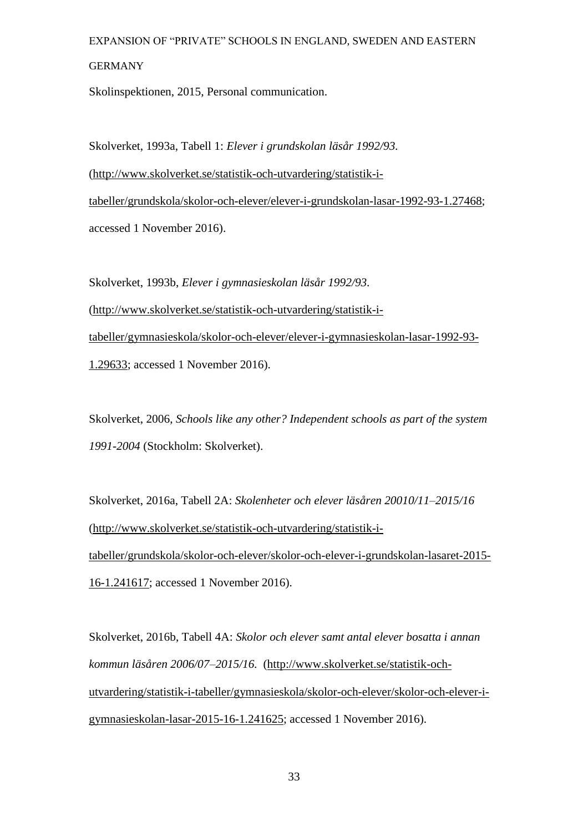#### GERMANY

Skolinspektionen, 2015, Personal communication.

Skolverket, 1993a, Tabell 1: *Elever i grundskolan läsår 1992/93.*  [\(http://www.skolverket.se/statistik-och-utvardering/statistik-i](http://www.skolverket.se/statistik-och-utvardering/statistik-i-tabeller/grundskola/skolor-och-elever/elever-i-grundskolan-lasar-1992-93-1.27468)[tabeller/grundskola/skolor-och-elever/elever-i-grundskolan-lasar-1992-93-1.27468;](http://www.skolverket.se/statistik-och-utvardering/statistik-i-tabeller/grundskola/skolor-och-elever/elever-i-grundskolan-lasar-1992-93-1.27468) accessed 1 November 2016).

Skolverket, 1993b, *Elever i gymnasieskolan läsår 1992/93.* [\(http://www.skolverket.se/statistik-och-utvardering/statistik-i](http://www.skolverket.se/statistik-och-utvardering/statistik-i-tabeller/gymnasieskola/skolor-och-elever/elever-i-gymnasieskolan-lasar-1992-93-1.29633)[tabeller/gymnasieskola/skolor-och-elever/elever-i-gymnasieskolan-lasar-1992-93-](http://www.skolverket.se/statistik-och-utvardering/statistik-i-tabeller/gymnasieskola/skolor-och-elever/elever-i-gymnasieskolan-lasar-1992-93-1.29633) [1.29633;](http://www.skolverket.se/statistik-och-utvardering/statistik-i-tabeller/gymnasieskola/skolor-och-elever/elever-i-gymnasieskolan-lasar-1992-93-1.29633) accessed 1 November 2016).

Skolverket, 2006, *Schools like any other? Independent schools as part of the system 1991-2004* (Stockholm: Skolverket).

Skolverket, 2016a, Tabell 2A: *Skolenheter och elever läsåren 20010/11–2015/16* [\(http://www.skolverket.se/statistik-och-utvardering/statistik-i](http://www.skolverket.se/statistik-och-utvardering/statistik-i-tabeller/grundskola/skolor-och-elever/skolor-och-elever-i-grundskolan-lasaret-2015-16-1.241617)[tabeller/grundskola/skolor-och-elever/skolor-och-elever-i-grundskolan-lasaret-2015-](http://www.skolverket.se/statistik-och-utvardering/statistik-i-tabeller/grundskola/skolor-och-elever/skolor-och-elever-i-grundskolan-lasaret-2015-16-1.241617) [16-1.241617;](http://www.skolverket.se/statistik-och-utvardering/statistik-i-tabeller/grundskola/skolor-och-elever/skolor-och-elever-i-grundskolan-lasaret-2015-16-1.241617) accessed 1 November 2016).

Skolverket, 2016b, Tabell 4A: *Skolor och elever samt antal elever bosatta i annan kommun läsåren 2006/07–2015/16.* [\(http://www.skolverket.se/statistik-och](http://www.skolverket.se/statistik-och-utvardering/statistik-i-tabeller/gymnasieskola/skolor-och-elever/skolor-och-elever-i-gymnasieskolan-lasar-2015-16-1.241625)[utvardering/statistik-i-tabeller/gymnasieskola/skolor-och-elever/skolor-och-elever-i](http://www.skolverket.se/statistik-och-utvardering/statistik-i-tabeller/gymnasieskola/skolor-och-elever/skolor-och-elever-i-gymnasieskolan-lasar-2015-16-1.241625)[gymnasieskolan-lasar-2015-16-1.241625;](http://www.skolverket.se/statistik-och-utvardering/statistik-i-tabeller/gymnasieskola/skolor-och-elever/skolor-och-elever-i-gymnasieskolan-lasar-2015-16-1.241625) accessed 1 November 2016).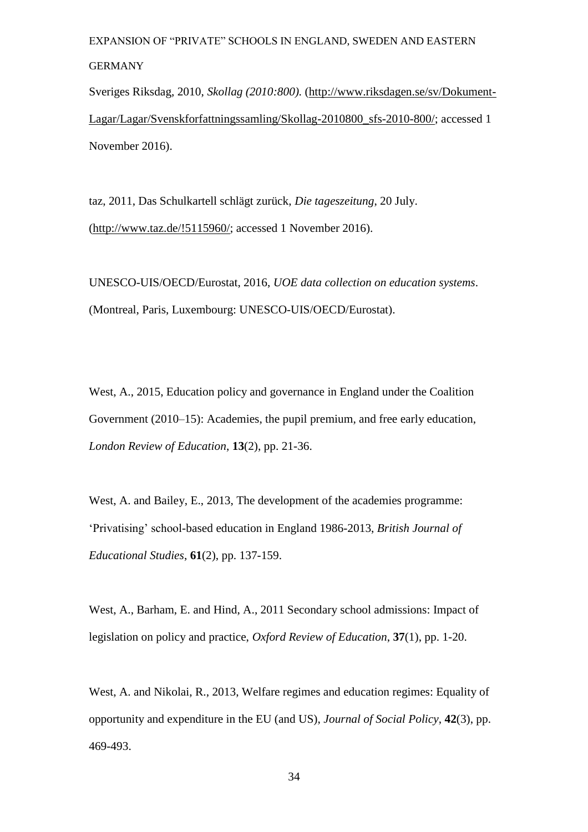Sveriges Riksdag, 2010, *Skollag (2010:800).* [\(http://www.riksdagen.se/sv/Dokument-](http://www.riksdagen.se/sv/Dokument-Lagar/Lagar/Svenskforfattningssamling/Skollag-2010800_sfs-2010-800/)[Lagar/Lagar/Svenskforfattningssamling/Skollag-2010800\\_sfs-2010-800/;](http://www.riksdagen.se/sv/Dokument-Lagar/Lagar/Svenskforfattningssamling/Skollag-2010800_sfs-2010-800/) accessed 1 November 2016).

taz, 2011, Das Schulkartell schlägt zurück, *Die tageszeitung*, 20 July. [\(http://www.taz.de/!5115960/;](http://www.taz.de/!5115960/) accessed 1 November 2016).

UNESCO-UIS/OECD/Eurostat, 2016, *UOE data collection on education systems*. (Montreal, Paris, Luxembourg: UNESCO-UIS/OECD/Eurostat).

West, A., 2015, Education policy and governance in England under the Coalition Government (2010–15): Academies, the pupil premium, and free early education, *London Review of Education*, **13**(2), pp. 21-36.

West, A. and Bailey, E., 2013, The development of the academies programme: 'Privatising' school-based education in England 1986-2013, *British Journal of Educational Studies*, **61**(2), pp. 137-159.

West, A., Barham, E. and Hind, A., 2011 Secondary school admissions: Impact of legislation on policy and practice, *Oxford Review of Education*, **37**(1), pp. 1-20.

West, A. and Nikolai, R., 2013, Welfare regimes and education regimes: Equality of opportunity and expenditure in the EU (and US), *Journal of Social Policy*, **42**(3), pp. 469-493.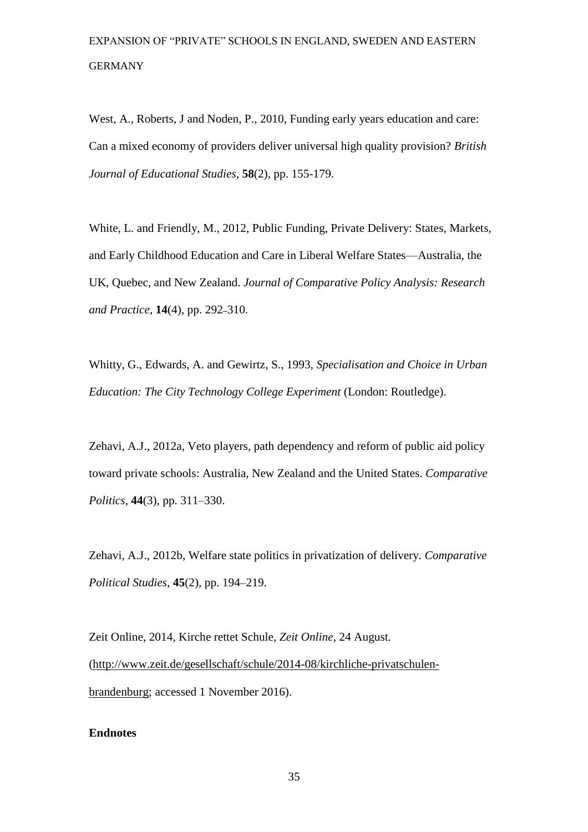West, A., Roberts, J and Noden, P., 2010, Funding early years education and care: Can a mixed economy of providers deliver universal high quality provision? *British Journal of Educational Studies*, **58**(2), pp. 155-179.

White, L. and Friendly, M., 2012, Public Funding, Private Delivery: States, Markets, and Early Childhood Education and Care in Liberal Welfare States—Australia, the UK, Quebec, and New Zealand. *Journal of Comparative Policy Analysis: Research and Practice*, **14**(4), pp. 292–310.

Whitty, G., Edwards, A. and Gewirtz, S., 1993, *Specialisation and Choice in Urban Education: The City Technology College Experiment* (London: Routledge).

Zehavi, A.J., 2012a, Veto players, path dependency and reform of public aid policy toward private schools: Australia, New Zealand and the United States. *Comparative Politics*, **44**(3), pp. 311–330.

Zehavi, A.J., 2012b, Welfare state politics in privatization of delivery. *Comparative Political Studies*, **45**(2), pp. 194–219.

Zeit Online, 2014, Kirche rettet Schule, *Zeit Online*, 24 August. [\(http://www.zeit.de/gesellschaft/schule/2014-08/kirchliche-privatschulen](http://www.zeit.de/gesellschaft/schule/2014-08/kirchliche-privatschulen-brandenburg)[brandenburg;](http://www.zeit.de/gesellschaft/schule/2014-08/kirchliche-privatschulen-brandenburg) accessed 1 November 2016).

#### **Endnotes**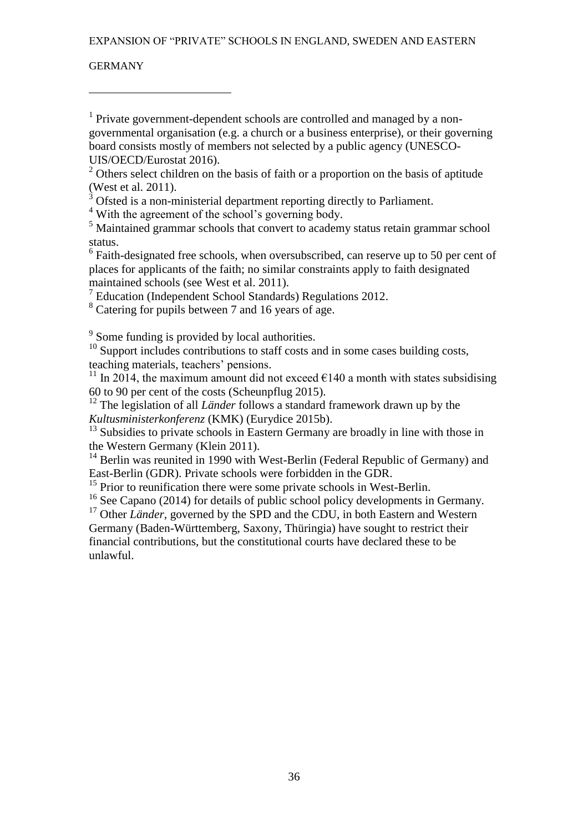#### GERMANY

 $\overline{a}$ 

<sup>1</sup> Private government-dependent schools are controlled and managed by a nongovernmental organisation (e.g. a church or a business enterprise), or their governing board consists mostly of members not selected by a public agency (UNESCO-UIS/OECD/Eurostat 2016).

<sup>2</sup> Others select children on the basis of faith or a proportion on the basis of aptitude (West et al. 2011).

 $3$  Ofsted is a non-ministerial department reporting directly to Parliament.

<sup>4</sup> With the agreement of the school's governing body.

<sup>5</sup> Maintained grammar schools that convert to academy status retain grammar school status.

<sup>6</sup> Faith-designated free schools, when oversubscribed, can reserve up to 50 per cent of places for applicants of the faith; no similar constraints apply to faith designated maintained schools (see West et al. 2011).

 $7$  Education (Independent School Standards) Regulations 2012.

<sup>8</sup> Catering for pupils between 7 and 16 years of age.

<sup>9</sup> Some funding is provided by local authorities.

<sup>10</sup> Support includes contributions to staff costs and in some cases building costs, teaching materials, teachers' pensions.

<sup>11</sup> In 2014, the maximum amount did not exceed  $\epsilon$ 140 a month with states subsidising 60 to 90 per cent of the costs (Scheunpflug 2015).

<sup>12</sup> The legislation of all *Länder* follows a standard framework drawn up by the *Kultusministerkonferenz* (KMK) (Eurydice 2015b).

<sup>13</sup> Subsidies to private schools in Eastern Germany are broadly in line with those in the Western Germany (Klein 2011).

 $14$  Berlin was reunited in 1990 with West-Berlin (Federal Republic of Germany) and East-Berlin (GDR). Private schools were forbidden in the GDR.

<sup>15</sup> Prior to reunification there were some private schools in West-Berlin.

<sup>16</sup> See Capano (2014) for details of public school policy developments in Germany.

<sup>17</sup> Other *Länder*, governed by the SPD and the CDU, in both Eastern and Western Germany (Baden-Württemberg, Saxony, Thüringia) have sought to restrict their financial contributions, but the constitutional courts have declared these to be unlawful.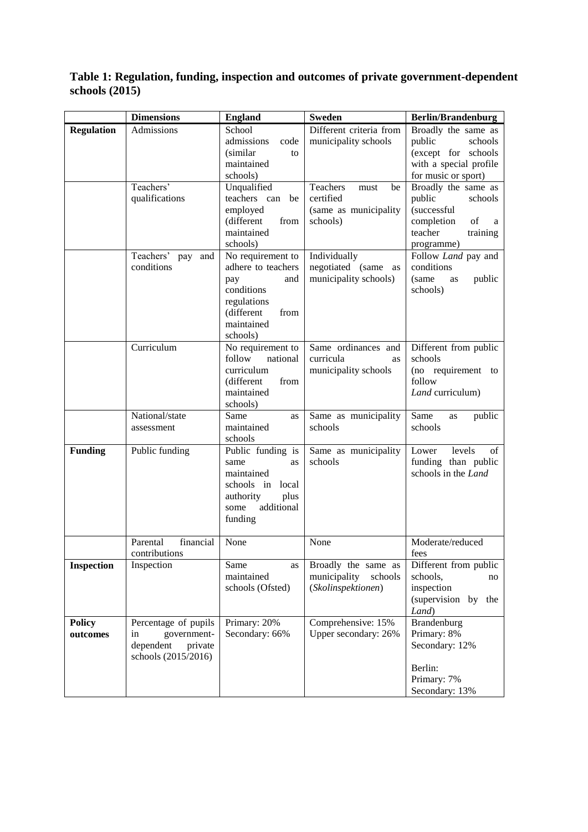### **Table 1: Regulation, funding, inspection and outcomes of private government-dependent schools (2015)**

|                           | <b>Dimensions</b>                                                                        | <b>England</b>                                                                                                                     | <b>Sweden</b>                                                            | <b>Berlin/Brandenburg</b>                                                                                             |
|---------------------------|------------------------------------------------------------------------------------------|------------------------------------------------------------------------------------------------------------------------------------|--------------------------------------------------------------------------|-----------------------------------------------------------------------------------------------------------------------|
| <b>Regulation</b>         | Admissions                                                                               | School<br>admissions<br>code<br>(similar)<br>to<br>maintained<br>schools)                                                          | Different criteria from<br>municipality schools                          | Broadly the same as<br>public<br>schools<br>(except for schools<br>with a special profile<br>for music or sport)      |
|                           | Teachers'<br>qualifications                                                              | Unqualified<br>teachers can be<br>employed<br>(different<br>from<br>maintained<br>schools)                                         | Teachers<br>must<br>be<br>certified<br>(same as municipality<br>schools) | Broadly the same as<br>public<br>schools<br>(successful<br>completion<br>of<br>a<br>teacher<br>training<br>programme) |
|                           | Teachers'<br>pay<br>and<br>conditions                                                    | No requirement to<br>adhere to teachers<br>and<br>pay<br>conditions<br>regulations<br>(different<br>from<br>maintained<br>schools) | Individually<br>negotiated (same as<br>municipality schools)             | Follow Land pay and<br>conditions<br>(same<br>public<br>as<br>schools)                                                |
|                           | Curriculum                                                                               | No requirement to<br>follow<br>national<br>curriculum<br>(different<br>from<br>maintained<br>schools)                              | Same ordinances and<br>curricula<br>as<br>municipality schools           | Different from public<br>schools<br>(no requirement to<br>follow<br>Land curriculum)                                  |
|                           | National/state<br>assessment                                                             | Same<br>as<br>maintained<br>schools                                                                                                | Same as municipality<br>schools                                          | Same<br>public<br>as<br>schools                                                                                       |
| <b>Funding</b>            | Public funding                                                                           | Public funding is<br>same<br>as<br>maintained<br>schools in<br>local<br>authority<br>plus<br>additional<br>some<br>funding         | Same as municipality<br>schools                                          | levels<br>Lower<br>οf<br>funding than public<br>schools in the Land                                                   |
|                           | financial<br>Parental<br>contributions                                                   | None                                                                                                                               | None                                                                     | Moderate/reduced<br>fees                                                                                              |
| <b>Inspection</b>         | Inspection                                                                               | Same<br>as<br>maintained<br>schools (Ofsted)                                                                                       | Broadly the same as<br>municipality<br>schools<br>(Skolinspektionen)     | Different from public<br>schools,<br>no<br>inspection<br>(supervision by the<br>Land)                                 |
| <b>Policy</b><br>outcomes | Percentage of pupils<br>government-<br>in<br>dependent<br>private<br>schools (2015/2016) | Primary: 20%<br>Secondary: 66%                                                                                                     | Comprehensive: 15%<br>Upper secondary: 26%                               | Brandenburg<br>Primary: 8%<br>Secondary: 12%<br>Berlin:<br>Primary: 7%<br>Secondary: 13%                              |